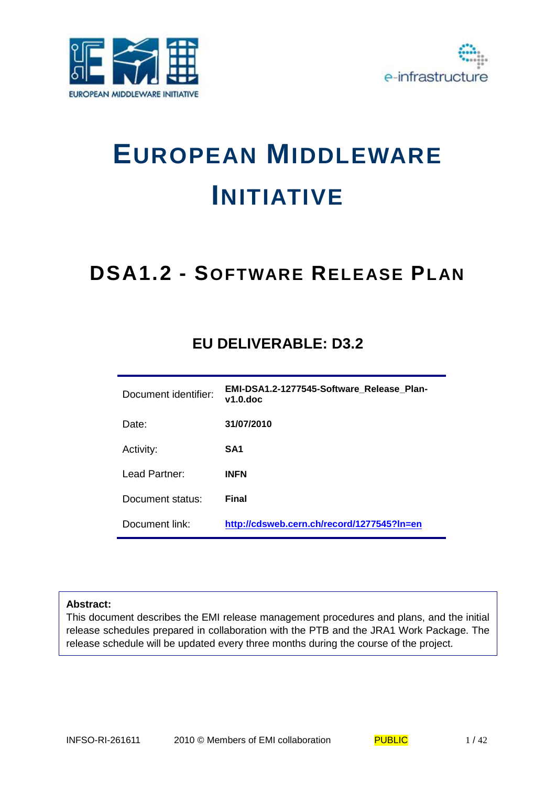



# **EUROPEAN MIDDLEWARE INITIATIVE**

# **DSA1.2 - SOFTWARE RELEASE PLAN**

# **EU DELIVERABLE: D3.2**

| Document identifier: | EMI-DSA1.2-1277545-Software Release Plan-<br>$v1.0$ .doc |
|----------------------|----------------------------------------------------------|
| Date:                | 31/07/2010                                               |
| Activity:            | SA1                                                      |
| Lead Partner:        | <b>INFN</b>                                              |
| Document status:     | Final                                                    |
| Document link:       | http://cdsweb.cern.ch/record/1277545?ln=en               |

#### **Abstract:**

This document describes the EMI release management procedures and plans, and the initial release schedules prepared in collaboration with the PTB and the JRA1 Work Package. The release schedule will be updated every three months during the course of the project.

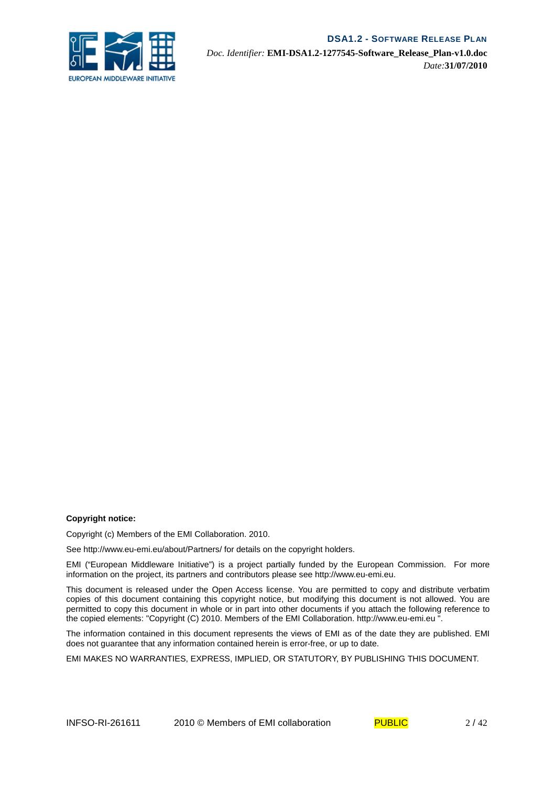

*Doc. Identifier:* **EMI-DSA1.2-1277545-Software\_Release\_Plan-v1.0.doc** *Date:***31/07/2010**

#### **Copyright notice:**

Copyright (c) Members of the EMI Collaboration. 2010.

See http://www.eu-emi.eu/about/Partners/ for details on the copyright holders.

EMI ("European Middleware Initiative") is a project partially funded by the European Commission. For more information on the project, its partners and contributors please see http://www.eu-emi.eu.

This document is released under the Open Access license. You are permitted to copy and distribute verbatim copies of this document containing this copyright notice, but modifying this document is not allowed. You are permitted to copy this document in whole or in part into other documents if you attach the following reference to the copied elements: "Copyright (C) 2010. Members of the EMI Collaboration. http://www.eu-emi.eu ".

The information contained in this document represents the views of EMI as of the date they are published. EMI does not guarantee that any information contained herein is error-free, or up to date.

EMI MAKES NO WARRANTIES, EXPRESS, IMPLIED, OR STATUTORY, BY PUBLISHING THIS DOCUMENT.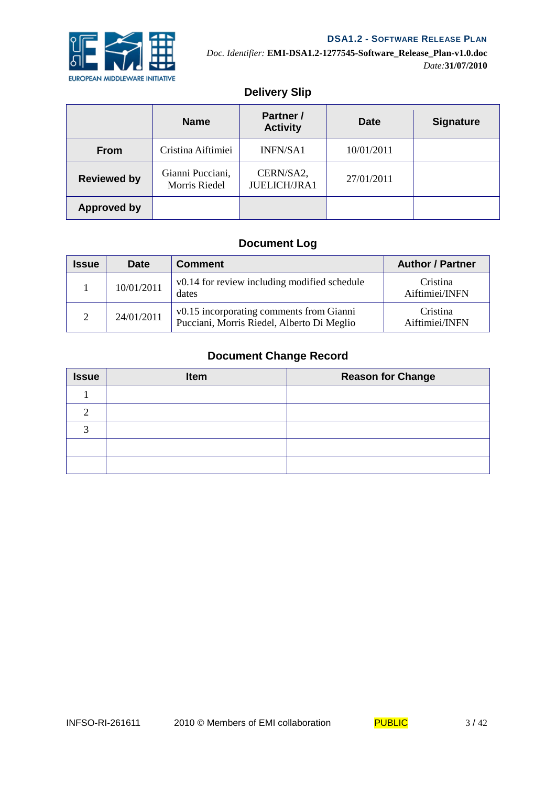

# **Delivery Slip**

|                    | <b>Name</b>                       | <b>Partner</b> /<br><b>Activity</b> | <b>Date</b> | <b>Signature</b> |
|--------------------|-----------------------------------|-------------------------------------|-------------|------------------|
| <b>From</b>        | Cristina Aiftimiei                | INFN/SA1                            | 10/01/2011  |                  |
| <b>Reviewed by</b> | Gianni Pucciani,<br>Morris Riedel | CERN/SA2,<br><b>JUELICH/JRA1</b>    | 27/01/2011  |                  |
| <b>Approved by</b> |                                   |                                     |             |                  |

# **Document Log**

| <b>Issue</b>  | <b>Date</b> | <b>Comment</b>                                                                         | <b>Author / Partner</b>    |
|---------------|-------------|----------------------------------------------------------------------------------------|----------------------------|
|               | 10/01/2011  | v0.14 for review including modified schedule<br>dates                                  | Cristina<br>Aiftimiei/INFN |
| $\mathcal{D}$ | 24/01/2011  | v0.15 incorporating comments from Gianni<br>Pucciani, Morris Riedel, Alberto Di Meglio | Cristina<br>Aiftimiei/INFN |

# **Document Change Record**

| <b>Issue</b> | Item | <b>Reason for Change</b> |
|--------------|------|--------------------------|
|              |      |                          |
|              |      |                          |
|              |      |                          |
|              |      |                          |
|              |      |                          |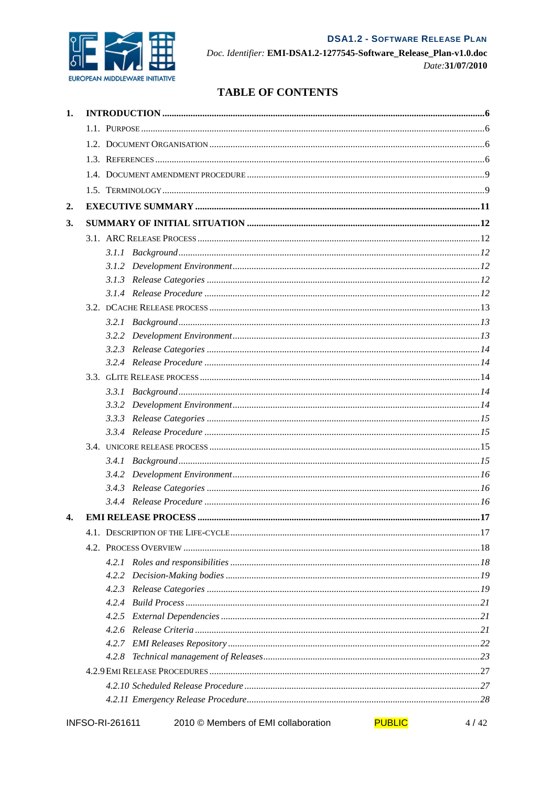

Doc. Identifier: EMI-DSA1.2-1277545-Software\_Release\_Plan-v1.0.doc Date: 31/07/2010

# **TABLE OF CONTENTS**

| 1. |                        |                                                      |      |
|----|------------------------|------------------------------------------------------|------|
|    |                        |                                                      |      |
|    |                        |                                                      |      |
|    |                        |                                                      |      |
|    |                        |                                                      |      |
|    |                        |                                                      |      |
| 2. |                        |                                                      |      |
| 3. |                        |                                                      |      |
|    |                        |                                                      |      |
|    |                        |                                                      |      |
|    |                        |                                                      |      |
|    |                        |                                                      |      |
|    |                        |                                                      |      |
|    |                        |                                                      |      |
|    |                        |                                                      |      |
|    |                        |                                                      |      |
|    |                        |                                                      |      |
|    |                        |                                                      |      |
|    |                        |                                                      |      |
|    |                        |                                                      |      |
|    |                        |                                                      |      |
|    |                        |                                                      |      |
|    |                        |                                                      |      |
|    |                        |                                                      |      |
|    |                        |                                                      |      |
|    |                        |                                                      |      |
|    |                        |                                                      |      |
|    |                        |                                                      |      |
| 4. |                        |                                                      |      |
|    |                        |                                                      |      |
|    |                        |                                                      |      |
|    |                        |                                                      |      |
|    |                        |                                                      |      |
|    | 4.2.3                  |                                                      |      |
|    | 4.2.4                  |                                                      |      |
|    | 4.2.5                  |                                                      |      |
|    |                        |                                                      |      |
|    |                        |                                                      |      |
|    |                        |                                                      |      |
|    |                        |                                                      |      |
|    |                        |                                                      |      |
|    |                        |                                                      |      |
|    | <b>INFSO-RI-261611</b> | <b>PUBLIC</b><br>2010 © Members of EMI collaboration | 4/42 |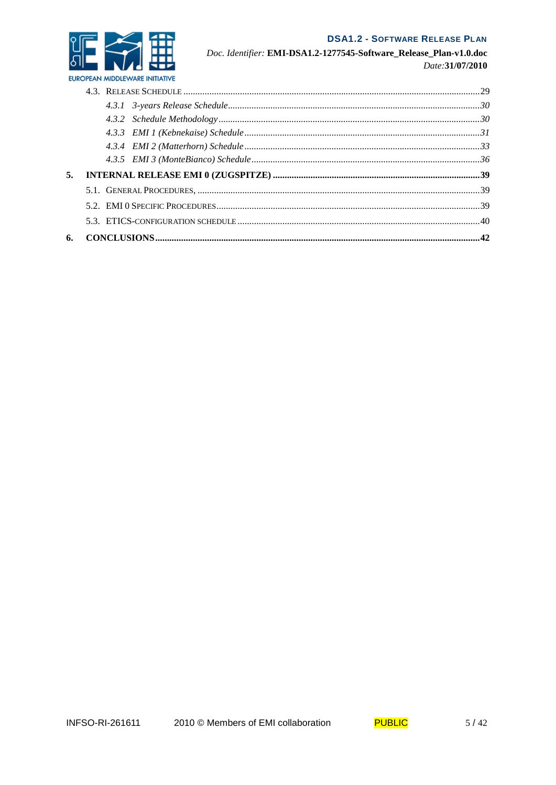

Doc. Identifier: EMI-DSA1.2-1277545-Software\_Release\_Plan-v1.0.doc Date: 31/07/2010

| 5. |  |
|----|--|
|    |  |
|    |  |
|    |  |
|    |  |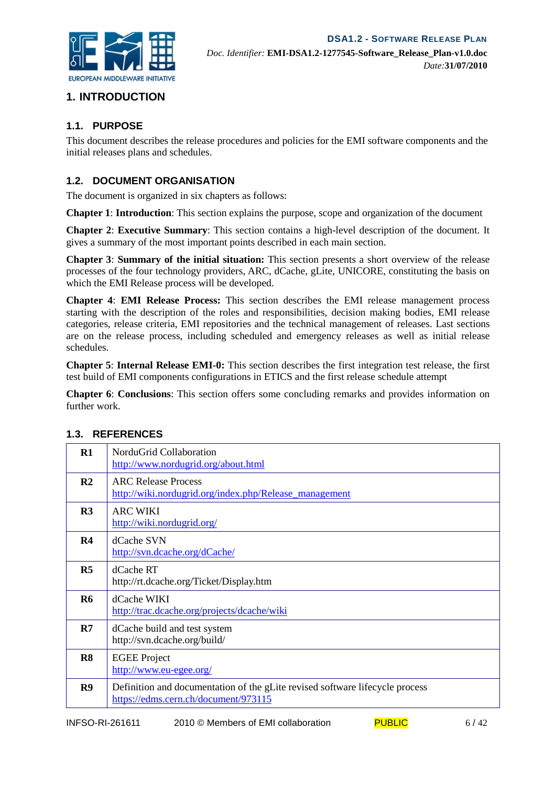# **1. INTRODUCTION**

#### **1.1. PURPOSE**

This document describes the release procedures and policies for the EMI software components and the initial releases plans and schedules.

#### **1.2. DOCUMENT ORGANISATION**

The document is organized in six chapters as follows:

**Chapter 1**: **Introduction**: This section explains the purpose, scope and organization of the document

**Chapter 2**: **Executive Summary**: This section contains a high-level description of the document. It gives a summary of the most important points described in each main section.

**Chapter 3**: **Summary of the initial situation:** This section presents a short overview of the release processes of the four technology providers, ARC, dCache, gLite, UNICORE, constituting the basis on which the EMI Release process will be developed.

**Chapter 4**: **EMI Release Process:** This section describes the EMI release management process starting with the description of the roles and responsibilities, decision making bodies, EMI release categories, release criteria, EMI repositories and the technical management of releases. Last sections are on the release process, including scheduled and emergency releases as well as initial release schedules.

**Chapter 5**: **Internal Release EMI-0:** This section describes the first integration test release, the first test build of EMI components configurations in ETICS and the first release schedule attempt

**Chapter 6**: **Conclusions**: This section offers some concluding remarks and provides information on further work.

| $\mathbf{R}1$  | NorduGrid Collaboration<br>http://www.nordugrid.org/about.html                                                       |
|----------------|----------------------------------------------------------------------------------------------------------------------|
| R <sub>2</sub> | <b>ARC Release Process</b><br>http://wiki.nordugrid.org/index.php/Release_management                                 |
| R <sub>3</sub> | <b>ARC WIKI</b><br>http://wiki.nordugrid.org/                                                                        |
| R <sub>4</sub> | dCache SVN<br>http://svn.dcache.org/dCache/                                                                          |
| R <sub>5</sub> | dCache RT<br>http://rt.dcache.org/Ticket/Display.htm                                                                 |
| <b>R6</b>      | dCache WIKI<br>http://trac.dcache.org/projects/dcache/wiki                                                           |
| R7             | dCache build and test system<br>http://svn.dcache.org/build/                                                         |
| R8             | <b>EGEE</b> Project<br>http://www.eu-egee.org/                                                                       |
| R9             | Definition and documentation of the gLite revised software lifecycle process<br>https://edms.cern.ch/document/973115 |

#### **1.3. REFERENCES**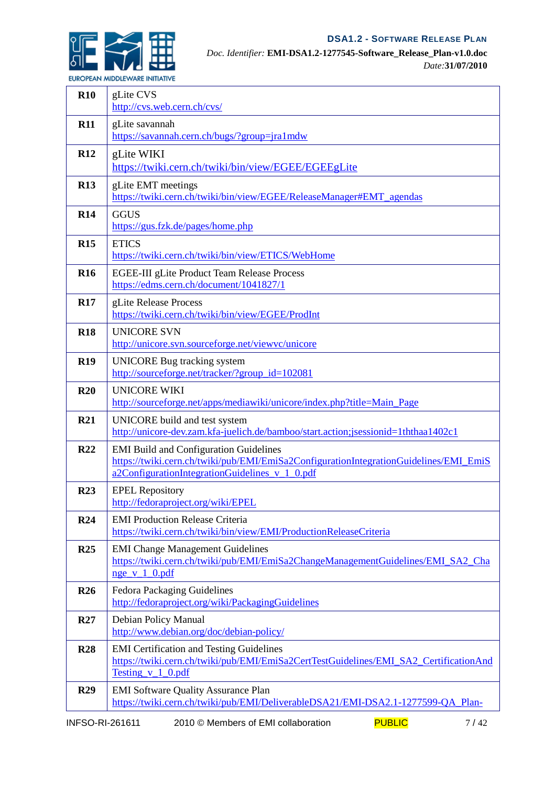

*Doc. Identifier:* **EMI-DSA1.2-1277545-Software\_Release\_Plan-v1.0.doc** *Date:***31/07/2010**

*EUROPEAN MIDDLEWARE INITIATIVE* 

| <b>R10</b>      | gLite CVS<br>http://cvs.web.cern.ch/cvs/                                                                                                                                                 |
|-----------------|------------------------------------------------------------------------------------------------------------------------------------------------------------------------------------------|
| <b>R11</b>      | gLite savannah<br>https://savannah.cern.ch/bugs/?group=jra1mdw                                                                                                                           |
| <b>R12</b>      | gLite WIKI<br>https://twiki.cern.ch/twiki/bin/view/EGEE/EGEEgLite                                                                                                                        |
| <b>R13</b>      | gLite EMT meetings<br>https://twiki.cern.ch/twiki/bin/view/EGEE/ReleaseManager#EMT_agendas                                                                                               |
| <b>R14</b>      | <b>GGUS</b><br>https://gus.fzk.de/pages/home.php                                                                                                                                         |
| <b>R15</b>      | <b>ETICS</b><br>https://twiki.cern.ch/twiki/bin/view/ETICS/WebHome                                                                                                                       |
| <b>R16</b>      | EGEE-III gLite Product Team Release Process<br>https://edms.cern.ch/document/1041827/1                                                                                                   |
| <b>R17</b>      | gLite Release Process<br>https://twiki.cern.ch/twiki/bin/view/EGEE/ProdInt                                                                                                               |
| <b>R18</b>      | <b>UNICORE SVN</b><br>http://unicore.svn.sourceforge.net/viewvc/unicore                                                                                                                  |
| <b>R19</b>      | UNICORE Bug tracking system<br>http://sourceforge.net/tracker/?group_id=102081                                                                                                           |
| R20             | <b>UNICORE WIKI</b><br>http://sourceforge.net/apps/mediawiki/unicore/index.php?title=Main_Page                                                                                           |
| <b>R21</b>      | UNICORE build and test system<br>http://unicore-dev.zam.kfa-juelich.de/bamboo/start.action;jsessionid=1ththaa1402c1                                                                      |
| <b>R22</b>      | <b>EMI Build and Configuration Guidelines</b><br>https://twiki.cern.ch/twiki/pub/EMI/EmiSa2ConfigurationIntegrationGuidelines/EMI_EmiS<br>a2ConfigurationIntegrationGuidelines_v_1_0.pdf |
| R <sub>23</sub> | <b>EPEL Repository</b><br>http://fedoraproject.org/wiki/EPEL                                                                                                                             |
| <b>R24</b>      | <b>EMI Production Release Criteria</b><br>https://twiki.cern.ch/twiki/bin/view/EMI/ProductionReleaseCriteria                                                                             |
| <b>R25</b>      | <b>EMI Change Management Guidelines</b><br>https://twiki.cern.ch/twiki/pub/EMI/EmiSa2ChangeManagementGuidelines/EMI_SA2_Cha<br>$nge \ v 1 0.pdf$                                         |
| <b>R26</b>      | Fedora Packaging Guidelines<br>http://fedoraproject.org/wiki/PackagingGuidelines                                                                                                         |
| R27             | Debian Policy Manual<br>http://www.debian.org/doc/debian-policy/                                                                                                                         |
| <b>R28</b>      | <b>EMI</b> Certification and Testing Guidelines<br>https://twiki.cern.ch/twiki/pub/EMI/EmiSa2CertTestGuidelines/EMI_SA2_CertificationAnd<br>Testing v 1 0.pdf                            |
| <b>R29</b>      | <b>EMI Software Quality Assurance Plan</b><br>https://twiki.cern.ch/twiki/pub/EMI/DeliverableDSA21/EMI-DSA2.1-1277599-QA_Plan-                                                           |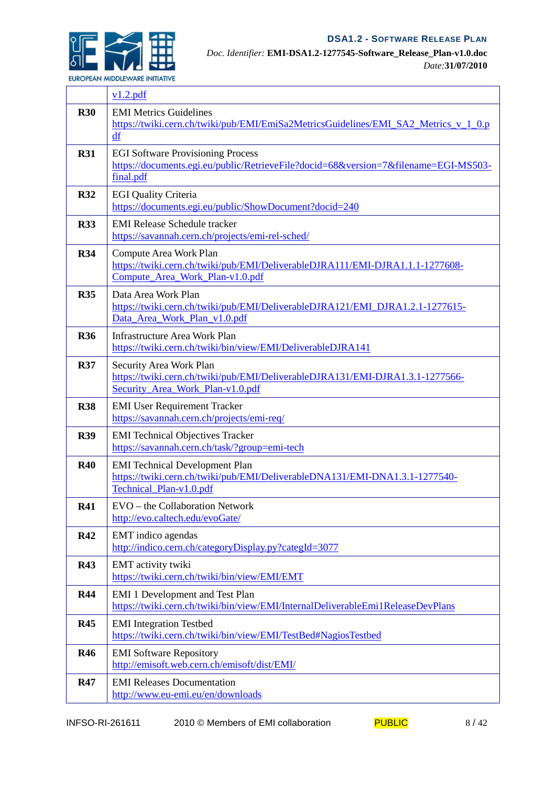

٦

*Doc. Identifier:* **EMI-DSA1.2-1277545-Software\_Release\_Plan-v1.0.doc** *Date:***31/07/2010**

*EUROPEAN MIDDLEWARE INITIATIVE* 

Г

|            | v1.2.pdf                                                                                                                                        |
|------------|-------------------------------------------------------------------------------------------------------------------------------------------------|
| <b>R30</b> | <b>EMI Metrics Guidelines</b><br>https://twiki.cern.ch/twiki/pub/EMI/EmiSa2MetricsGuidelines/EMI_SA2_Metrics_v_1_0.p<br>df                      |
| <b>R31</b> | <b>EGI Software Provisioning Process</b><br>https://documents.egi.eu/public/RetrieveFile?docid=68&version=7&filename=EGI-MS503-<br>final.pdf    |
| <b>R32</b> | <b>EGI Quality Criteria</b><br>https://documents.egi.eu/public/ShowDocument?docid=240                                                           |
| <b>R33</b> | <b>EMI Release Schedule tracker</b><br>https://savannah.cern.ch/projects/emi-rel-sched/                                                         |
| <b>R34</b> | Compute Area Work Plan<br>https://twiki.cern.ch/twiki/pub/EMI/DeliverableDJRA111/EMI-DJRA1.1.1-1277608-<br>Compute_Area_Work_Plan-v1.0.pdf      |
| <b>R35</b> | Data Area Work Plan<br>https://twiki.cern.ch/twiki/pub/EMI/DeliverableDJRA121/EMI_DJRA1.2.1-1277615-<br>Data_Area_Work_Plan_v1.0.pdf            |
| <b>R36</b> | <b>Infrastructure Area Work Plan</b><br>https://twiki.cern.ch/twiki/bin/view/EMI/DeliverableDJRA141                                             |
| <b>R37</b> | Security Area Work Plan<br>https://twiki.cern.ch/twiki/pub/EMI/DeliverableDJRA131/EMI-DJRA1.3.1-1277566-<br>Security_Area_Work_Plan-v1.0.pdf    |
| <b>R38</b> | <b>EMI User Requirement Tracker</b><br>https://savannah.cern.ch/projects/emi-req/                                                               |
| <b>R39</b> | <b>EMI</b> Technical Objectives Tracker<br>https://savannah.cern.ch/task/?group=emi-tech                                                        |
| <b>R40</b> | <b>EMI</b> Technical Development Plan<br>https://twiki.cern.ch/twiki/pub/EMI/DeliverableDNA131/EMI-DNA1.3.1-1277540-<br>Technical Plan-v1.0.pdf |
| <b>R41</b> | EVO - the Collaboration Network<br>http://evo.caltech.edu/evoGate/                                                                              |
| <b>R42</b> | EMT indico agendas<br>http://indico.cern.ch/categoryDisplay.py?categId=3077                                                                     |
| <b>R43</b> | EMT activity twiki<br>https://twiki.cern.ch/twiki/bin/view/EMI/EMT                                                                              |
| <b>R44</b> | <b>EMI 1 Development and Test Plan</b><br>https://twiki.cern.ch/twiki/bin/view/EMI/InternalDeliverableEmi1ReleaseDevPlans                       |
| <b>R45</b> | <b>EMI</b> Integration Testbed<br>https://twiki.cern.ch/twiki/bin/view/EMI/TestBed#NagiosTestbed                                                |
| <b>R46</b> | <b>EMI</b> Software Repository<br>http://emisoft.web.cern.ch/emisoft/dist/EMI/                                                                  |
| <b>R47</b> | <b>EMI</b> Releases Documentation<br>http://www.eu-emi.eu/en/downloads                                                                          |

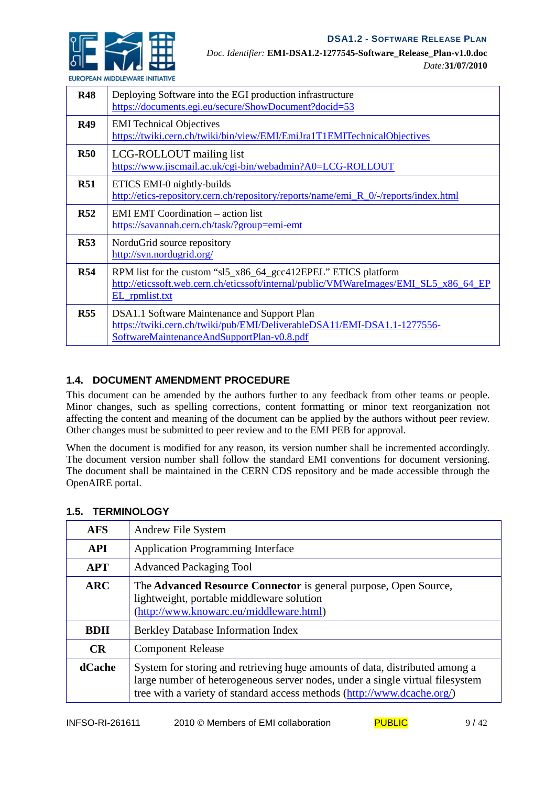

*EUROPEAN MIDDLEWARE INITIATIVE* 

| <b>R48</b> | Deploying Software into the EGI production infrastructure<br>https://documents.egi.eu/secure/ShowDocument?docid=53                                                        |
|------------|---------------------------------------------------------------------------------------------------------------------------------------------------------------------------|
| <b>R49</b> | <b>EMI</b> Technical Objectives<br>https://twiki.cern.ch/twiki/bin/view/EMI/EmiJra1T1EMITechnicalObjectives                                                               |
| R50        | LCG-ROLLOUT mailing list<br>https://www.jiscmail.ac.uk/cgi-bin/webadmin?A0=LCG-ROLLOUT                                                                                    |
| <b>R51</b> | ETICS EMI-0 nightly-builds<br>http://etics-repository.cern.ch/repository/reports/name/emi_R_0/-/reports/index.html                                                        |
| R52        | <b>EMI EMT Coordination – action list</b><br>https://savannah.cern.ch/task/?group=emi-emt                                                                                 |
| <b>R53</b> | NorduGrid source repository<br>http://svn.nordugrid.org/                                                                                                                  |
| <b>R54</b> | RPM list for the custom "sl5_x86_64_gcc412EPEL" ETICS platform<br>http://eticssoft.web.cern.ch/eticssoft/internal/public/VMWareImages/EMI_SL5_x86_64_EP<br>EL_rpmlist.txt |
| <b>R55</b> | DSA1.1 Software Maintenance and Support Plan<br>https://twiki.cern.ch/twiki/pub/EMI/DeliverableDSA11/EMI-DSA1.1-1277556-<br>SoftwareMaintenanceAndSupportPlan-v0.8.pdf    |

#### **1.4. DOCUMENT AMENDMENT PROCEDURE**

This document can be amended by the authors further to any feedback from other teams or people. Minor changes, such as spelling corrections, content formatting or minor text reorganization not affecting the content and meaning of the document can be applied by the authors without peer review. Other changes must be submitted to peer review and to the EMI PEB for approval.

When the document is modified for any reason, its version number shall be incremented accordingly. The document version number shall follow the standard EMI conventions for document versioning. The document shall be maintained in the CERN CDS repository and be made accessible through the OpenAIRE portal.

| <b>AFS</b>  | Andrew File System                                                                                                                                                                                                                      |
|-------------|-----------------------------------------------------------------------------------------------------------------------------------------------------------------------------------------------------------------------------------------|
| <b>API</b>  | <b>Application Programming Interface</b>                                                                                                                                                                                                |
| <b>APT</b>  | <b>Advanced Packaging Tool</b>                                                                                                                                                                                                          |
| <b>ARC</b>  | The Advanced Resource Connector is general purpose, Open Source,<br>lightweight, portable middleware solution<br>(http://www.knowarc.eu/middleware.html)                                                                                |
| <b>BDII</b> | <b>Berkley Database Information Index</b>                                                                                                                                                                                               |
| <b>CR</b>   | <b>Component Release</b>                                                                                                                                                                                                                |
| dCache      | System for storing and retrieving huge amounts of data, distributed among a<br>large number of heterogeneous server nodes, under a single virtual filesystem<br>tree with a variety of standard access methods (http://www.dcache.org/) |

# **1.5. TERMINOLOGY**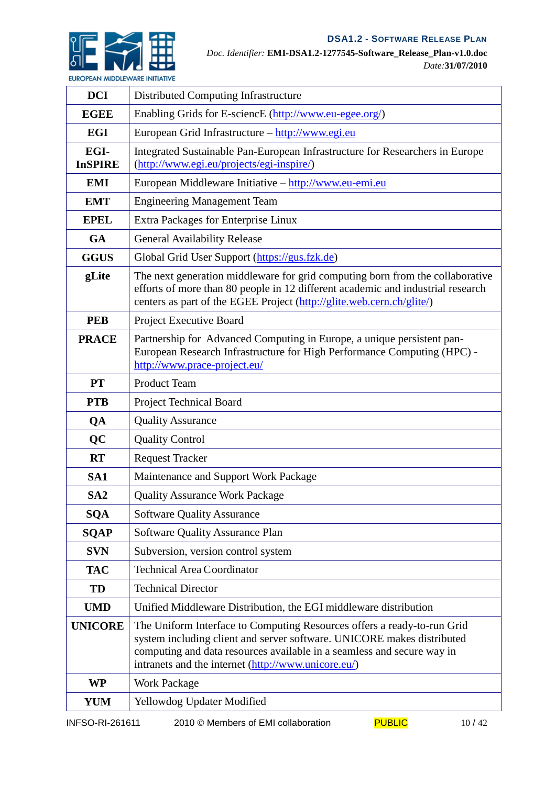

*Doc. Identifier:* **EMI-DSA1.2-1277545-Software\_Release\_Plan-v1.0.doc** *Date:***31/07/2010**

| <b>DCI</b>             | Distributed Computing Infrastructure                                                                                                                                                                                                                                               |
|------------------------|------------------------------------------------------------------------------------------------------------------------------------------------------------------------------------------------------------------------------------------------------------------------------------|
| <b>EGEE</b>            | Enabling Grids for E-sciencE (http://www.eu-egee.org/)                                                                                                                                                                                                                             |
| <b>EGI</b>             | European Grid Infrastructure - http://www.egi.eu                                                                                                                                                                                                                                   |
| EGI-<br><b>InSPIRE</b> | Integrated Sustainable Pan-European Infrastructure for Researchers in Europe<br>(http://www.egi.eu/projects/egi-inspire/)                                                                                                                                                          |
| <b>EMI</b>             | European Middleware Initiative - http://www.eu-emi.eu                                                                                                                                                                                                                              |
| <b>EMT</b>             | <b>Engineering Management Team</b>                                                                                                                                                                                                                                                 |
| <b>EPEL</b>            | Extra Packages for Enterprise Linux                                                                                                                                                                                                                                                |
| <b>GA</b>              | <b>General Availability Release</b>                                                                                                                                                                                                                                                |
| <b>GGUS</b>            | Global Grid User Support (https://gus.fzk.de)                                                                                                                                                                                                                                      |
| gLite                  | The next generation middleware for grid computing born from the collaborative<br>efforts of more than 80 people in 12 different academic and industrial research<br>centers as part of the EGEE Project (http://glite.web.cern.ch/glite/)                                          |
| <b>PEB</b>             | Project Executive Board                                                                                                                                                                                                                                                            |
| <b>PRACE</b>           | Partnership for Advanced Computing in Europe, a unique persistent pan-<br>European Research Infrastructure for High Performance Computing (HPC) -<br>http://www.prace-project.eu/                                                                                                  |
| <b>PT</b>              | <b>Product Team</b>                                                                                                                                                                                                                                                                |
| <b>PTB</b>             | <b>Project Technical Board</b>                                                                                                                                                                                                                                                     |
| QA                     | <b>Quality Assurance</b>                                                                                                                                                                                                                                                           |
| QC                     | <b>Quality Control</b>                                                                                                                                                                                                                                                             |
| <b>RT</b>              | <b>Request Tracker</b>                                                                                                                                                                                                                                                             |
| SA <sub>1</sub>        | Maintenance and Support Work Package                                                                                                                                                                                                                                               |
| SA <sub>2</sub>        | <b>Quality Assurance Work Package</b>                                                                                                                                                                                                                                              |
| <b>SQA</b>             | <b>Software Quality Assurance</b>                                                                                                                                                                                                                                                  |
| <b>SQAP</b>            | <b>Software Quality Assurance Plan</b>                                                                                                                                                                                                                                             |
| <b>SVN</b>             | Subversion, version control system                                                                                                                                                                                                                                                 |
| <b>TAC</b>             | <b>Technical Area Coordinator</b>                                                                                                                                                                                                                                                  |
| TD                     | <b>Technical Director</b>                                                                                                                                                                                                                                                          |
| <b>UMD</b>             | Unified Middleware Distribution, the EGI middleware distribution                                                                                                                                                                                                                   |
| <b>UNICORE</b>         | The Uniform Interface to Computing Resources offers a ready-to-run Grid<br>system including client and server software. UNICORE makes distributed<br>computing and data resources available in a seamless and secure way in<br>intranets and the internet (http://www.unicore.eu/) |
| <b>WP</b>              | <b>Work Package</b>                                                                                                                                                                                                                                                                |
| <b>YUM</b>             | Yellowdog Updater Modified                                                                                                                                                                                                                                                         |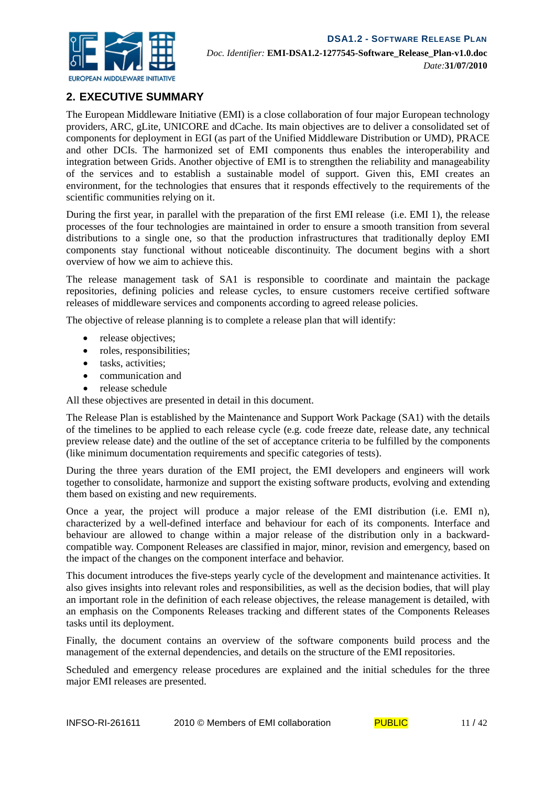

# **2. EXECUTIVE SUMMARY**

The European Middleware Initiative (EMI) is a close collaboration of four major European technology providers, ARC, gLite, UNICORE and dCache. Its main objectives are to deliver a consolidated set of components for deployment in EGI (as part of the Unified Middleware Distribution or UMD), PRACE and other DCIs. The harmonized set of EMI components thus enables the interoperability and integration between Grids. Another objective of EMI is to strengthen the reliability and manageability of the services and to establish a sustainable model of support. Given this, EMI creates an environment, for the technologies that ensures that it responds effectively to the requirements of the scientific communities relying on it.

During the first year, in parallel with the preparation of the first EMI release (i.e. EMI 1), the release processes of the four technologies are maintained in order to ensure a smooth transition from several distributions to a single one, so that the production infrastructures that traditionally deploy EMI components stay functional without noticeable discontinuity. The document begins with a short overview of how we aim to achieve this.

The release management task of SA1 is responsible to coordinate and maintain the package repositories, defining policies and release cycles, to ensure customers receive certified software releases of middleware services and components according to agreed release policies.

The objective of release planning is to complete a release plan that will identify:

- release objectives;
- roles, responsibilities;
- tasks, activities:
- communication and
- release schedule

All these objectives are presented in detail in this document.

The Release Plan is established by the Maintenance and Support Work Package (SA1) with the details of the timelines to be applied to each release cycle (e.g. code freeze date, release date, any technical preview release date) and the outline of the set of acceptance criteria to be fulfilled by the components (like minimum documentation requirements and specific categories of tests).

During the three years duration of the EMI project, the EMI developers and engineers will work together to consolidate, harmonize and support the existing software products, evolving and extending them based on existing and new requirements.

Once a year, the project will produce a major release of the EMI distribution (i.e. EMI n), characterized by a well-defined interface and behaviour for each of its components. Interface and behaviour are allowed to change within a major release of the distribution only in a backwardcompatible way. Component Releases are classified in major, minor, revision and emergency, based on the impact of the changes on the component interface and behavior.

This document introduces the five-steps yearly cycle of the development and maintenance activities. It also gives insights into relevant roles and responsibilities, as well as the decision bodies, that will play an important role in the definition of each release objectives, the release management is detailed, with an emphasis on the Components Releases tracking and different states of the Components Releases tasks until its deployment.

Finally, the document contains an overview of the software components build process and the management of the external dependencies, and details on the structure of the EMI repositories.

Scheduled and emergency release procedures are explained and the initial schedules for the three major EMI releases are presented.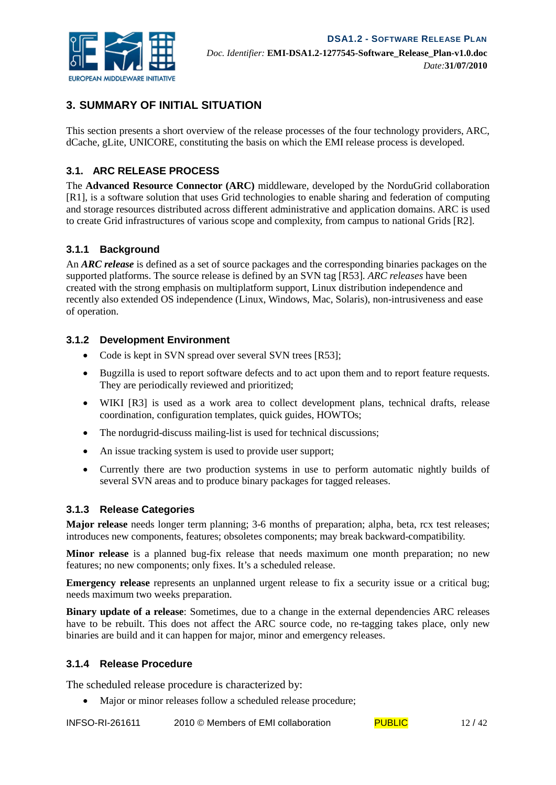

# **3. SUMMARY OF INITIAL SITUATION**

This section presents a short overview of the release processes of the four technology providers, ARC, dCache, gLite, UNICORE, constituting the basis on which the EMI release process is developed.

#### **3.1. ARC RELEASE PROCESS**

The **Advanced Resource Connector (ARC)** middleware, developed by the NorduGrid collaboration [R1], is a software solution that uses Grid technologies to enable sharing and federation of computing and storage resources distributed across different administrative and application domains. ARC is used to create Grid infrastructures of various scope and complexity, from campus to national Grids [R2].

#### **3.1.1 Background**

An *ARC release* is defined as a set of source packages and the corresponding binaries packages on the supported platforms. The source release is defined by an SVN tag [R53]. *ARC releases* have been created with the strong emphasis on multiplatform support, Linux distribution independence and recently also extended OS independence (Linux, Windows, Mac, Solaris), non-intrusiveness and ease of operation.

#### **3.1.2 Development Environment**

- Code is kept in SVN spread over several SVN trees [R53];
- Bugzilla is used to report software defects and to act upon them and to report feature requests. They are periodically reviewed and prioritized;
- WIKI [R3] is used as a work area to collect development plans, technical drafts, release coordination, configuration templates, quick guides, HOWTOs;
- The nordugrid-discuss mailing-list is used for technical discussions;
- An issue tracking system is used to provide user support;
- Currently there are two production systems in use to perform automatic nightly builds of several SVN areas and to produce binary packages for tagged releases.

#### **3.1.3 Release Categories**

**Major release** needs longer term planning; 3-6 months of preparation; alpha, beta, rcx test releases; introduces new components, features; obsoletes components; may break backward-compatibility.

**Minor release** is a planned bug-fix release that needs maximum one month preparation; no new features; no new components; only fixes. It's a scheduled release.

**Emergency release** represents an unplanned urgent release to fix a security issue or a critical bug; needs maximum two weeks preparation.

**Binary update of a release**: Sometimes, due to a change in the external dependencies ARC releases have to be rebuilt. This does not affect the ARC source code, no re-tagging takes place, only new binaries are build and it can happen for major, minor and emergency releases.

#### **3.1.4 Release Procedure**

The scheduled release procedure is characterized by:

• Major or minor releases follow a scheduled release procedure;

INFSO-RI-261611 2010 © Members of EMI collaboration  $PUBLIC$  12/42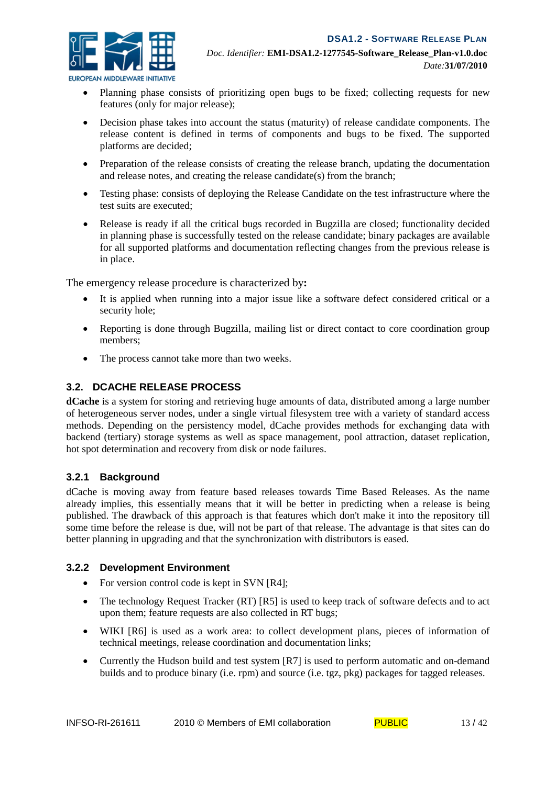

*EUROPEAN MIDDLEWARE INITIATIVE* 

- Planning phase consists of prioritizing open bugs to be fixed; collecting requests for new features (only for major release);
- Decision phase takes into account the status (maturity) of release candidate components. The release content is defined in terms of components and bugs to be fixed. The supported platforms are decided;
- Preparation of the release consists of creating the release branch, updating the documentation and release notes, and creating the release candidate(s) from the branch;
- Testing phase: consists of deploying the Release Candidate on the test infrastructure where the test suits are executed;
- Release is ready if all the critical bugs recorded in Bugzilla are closed; functionality decided in planning phase is successfully tested on the release candidate; binary packages are available for all supported platforms and documentation reflecting changes from the previous release is in place.

The emergency release procedure is characterized by**:**

- It is applied when running into a major issue like a software defect considered critical or a security hole;
- Reporting is done through Bugzilla, mailing list or direct contact to core coordination group members;
- The process cannot take more than two weeks.

#### **3.2. DCACHE RELEASE PROCESS**

**dCache** is a system for storing and retrieving huge amounts of data, distributed among a large number of heterogeneous server nodes, under a single virtual filesystem tree with a variety of standard access methods. Depending on the persistency model, dCache provides methods for exchanging data with backend (tertiary) storage systems as well as space management, pool attraction, dataset replication, hot spot determination and recovery from disk or node failures.

#### **3.2.1 Background**

dCache is moving away from feature based releases towards Time Based Releases. As the name already implies, this essentially means that it will be better in predicting when a release is being published. The drawback of this approach is that features which don't make it into the repository till some time before the release is due, will not be part of that release. The advantage is that sites can do better planning in upgrading and that the synchronization with distributors is eased.

#### **3.2.2 Development Environment**

- For version control code is kept in SVN [R4];
- The technology Request Tracker (RT) [R5] is used to keep track of software defects and to act upon them; feature requests are also collected in RT bugs;
- WIKI [R6] is used as a work area: to collect development plans, pieces of information of technical meetings, release coordination and documentation links;
- Currently the Hudson build and test system [R7] is used to perform automatic and on-demand builds and to produce binary (i.e. rpm) and source (i.e. tgz, pkg) packages for tagged releases.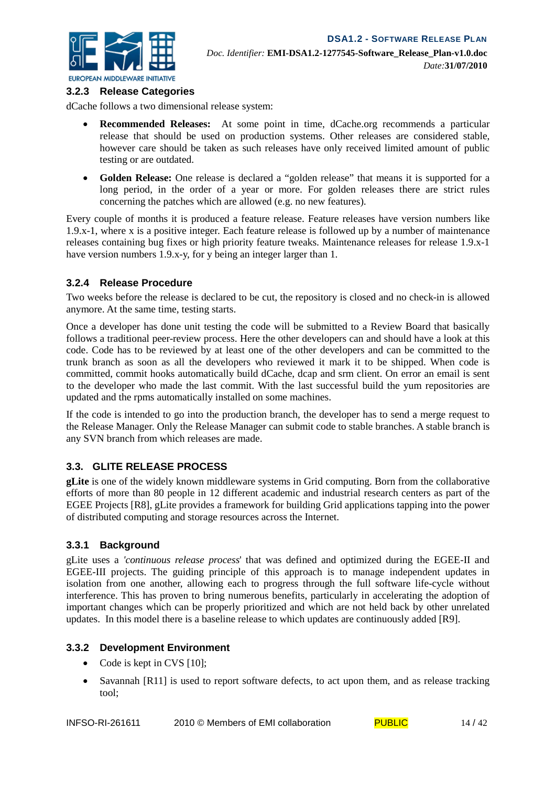

#### **3.2.3 Release Categories**

dCache follows a two dimensional release system:

- **Recommended Releases:** At some point in time, dCache.org recommends a particular release that should be used on production systems. Other releases are considered stable, however care should be taken as such releases have only received limited amount of public testing or are outdated.
- **Golden Release:** One release is declared a "golden release" that means it is supported for a long period, in the order of a year or more. For golden releases there are strict rules concerning the patches which are allowed (e.g. no new features).

Every couple of months it is produced a feature release. Feature releases have version numbers like 1.9.x-1, where x is a positive integer. Each feature release is followed up by a number of maintenance releases containing bug fixes or high priority feature tweaks. Maintenance releases for release 1.9.x-1 have version numbers 1.9.x-y, for y being an integer larger than 1.

#### **3.2.4 Release Procedure**

Two weeks before the release is declared to be cut, the repository is closed and no check-in is allowed anymore. At the same time, testing starts.

Once a developer has done unit testing the code will be submitted to a Review Board that basically follows a traditional peer-review process. Here the other developers can and should have a look at this code. Code has to be reviewed by at least one of the other developers and can be committed to the trunk branch as soon as all the developers who reviewed it mark it to be shipped. When code is committed, commit hooks automatically build dCache, dcap and srm client. On error an email is sent to the developer who made the last commit. With the last successful build the yum repositories are updated and the rpms automatically installed on some machines.

If the code is intended to go into the production branch, the developer has to send a merge request to the Release Manager. Only the Release Manager can submit code to stable branches. A stable branch is any SVN branch from which releases are made.

#### **3.3. GLITE RELEASE PROCESS**

**gLite** is one of the widely known middleware systems in Grid computing. Born from the collaborative efforts of more than 80 people in 12 different academic and industrial research centers as part of the EGEE Projects [R8], gLite provides a framework for building Grid applications tapping into the power of distributed computing and storage resources across the Internet.

#### **3.3.1 Background**

gLite uses a *'continuous release process*' that was defined and optimized during the EGEE-II and EGEE-III projects. The guiding principle of this approach is to manage independent updates in isolation from one another, allowing each to progress through the full software life-cycle without interference. This has proven to bring numerous benefits, particularly in accelerating the adoption of important changes which can be properly prioritized and which are not held back by other unrelated updates. In this model there is a baseline release to which updates are continuously added [R9].

#### **3.3.2 Development Environment**

- Code is kept in CVS [10];
- Savannah [R11] is used to report software defects, to act upon them, and as release tracking tool;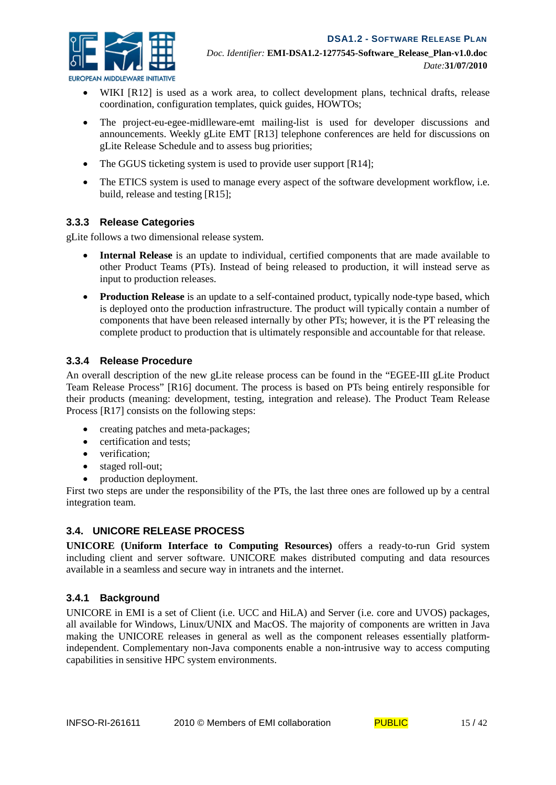

*EUROPEAN MIDDLEWARE INITIATIVE* 

- WIKI [R12] is used as a work area, to collect development plans, technical drafts, release coordination, configuration templates, quick guides, HOWTOs;
- The project-eu-egee-midlleware-emt mailing-list is used for developer discussions and announcements. Weekly gLite EMT [R13] telephone conferences are held for discussions on gLite Release Schedule and to assess bug priorities;
- The GGUS ticketing system is used to provide user support [R14];
- The ETICS system is used to manage every aspect of the software development workflow, i.e. build, release and testing [R15];

#### **3.3.3 Release Categories**

gLite follows a two dimensional release system.

- **Internal Release** is an update to individual, certified components that are made available to other Product Teams (PTs). Instead of being released to production, it will instead serve as input to production releases.
- **Production Release** is an update to a self-contained product, typically node-type based, which is deployed onto the production infrastructure. The product will typically contain a number of components that have been released internally by other PTs; however, it is the PT releasing the complete product to production that is ultimately responsible and accountable for that release.

#### **3.3.4 Release Procedure**

An overall description of the new gLite release process can be found in the "EGEE-III gLite Product Team Release Process" [R16] document. The process is based on PTs being entirely responsible for their products (meaning: development, testing, integration and release). The Product Team Release Process [R17] consists on the following steps:

- creating patches and meta-packages;
- certification and tests:
- verification:
- staged roll-out;
- production deployment.

First two steps are under the responsibility of the PTs, the last three ones are followed up by a central integration team.

#### **3.4. UNICORE RELEASE PROCESS**

**UNICORE (Uniform Interface to Computing Resources)** offers a ready-to-run Grid system including client and server software. UNICORE makes distributed computing and data resources available in a seamless and secure way in intranets and the internet.

#### **3.4.1 Background**

UNICORE in EMI is a set of Client (i.e. UCC and HiLA) and Server (i.e. core and UVOS) packages, all available for Windows, Linux/UNIX and MacOS. The majority of components are written in Java making the UNICORE releases in general as well as the component releases essentially platformindependent. Complementary non-Java components enable a non-intrusive way to access computing capabilities in sensitive HPC system environments.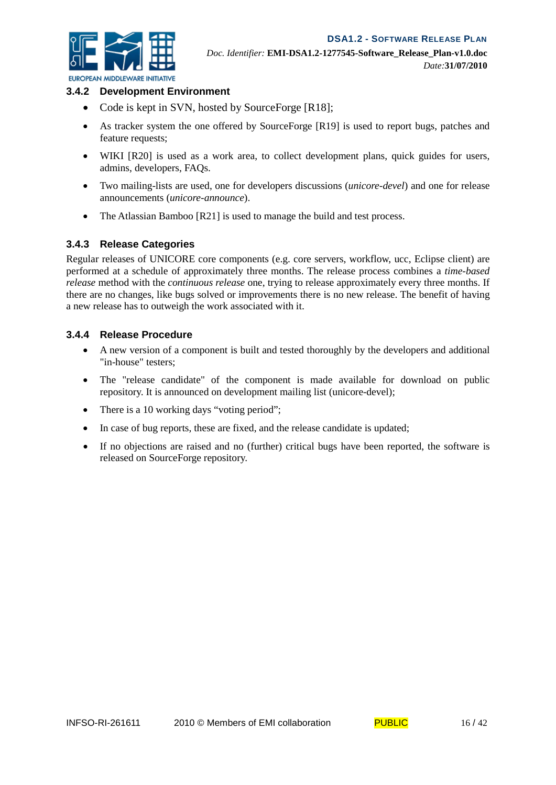

#### *EUROPEAN MIDDLEWARE INITIATIVE* **3.4.2 Development Environment**

- Code is kept in SVN, hosted by SourceForge [R18];
- As tracker system the one offered by SourceForge [R19] is used to report bugs, patches and feature requests;
- WIKI [R20] is used as a work area, to collect development plans, quick guides for users, admins, developers, FAQs.
- Two mailing-lists are used, one for developers discussions (*unicore-devel*) and one for release announcements (*unicore-announce*).
- The Atlassian Bamboo [R21] is used to manage the build and test process.

#### **3.4.3 Release Categories**

Regular releases of UNICORE core components (e.g. core servers, workflow, ucc, Eclipse client) are performed at a schedule of approximately three months. The release process combines a *time-based release* method with the *continuous release* one, trying to release approximately every three months. If there are no changes, like bugs solved or improvements there is no new release. The benefit of having a new release has to outweigh the work associated with it.

#### **3.4.4 Release Procedure**

- A new version of a component is built and tested thoroughly by the developers and additional "in-house" testers;
- The "release candidate" of the component is made available for download on public repository. It is announced on development mailing list (unicore-devel);
- There is a 10 working days "voting period";
- In case of bug reports, these are fixed, and the release candidate is updated;
- If no objections are raised and no (further) critical bugs have been reported, the software is released on SourceForge repository.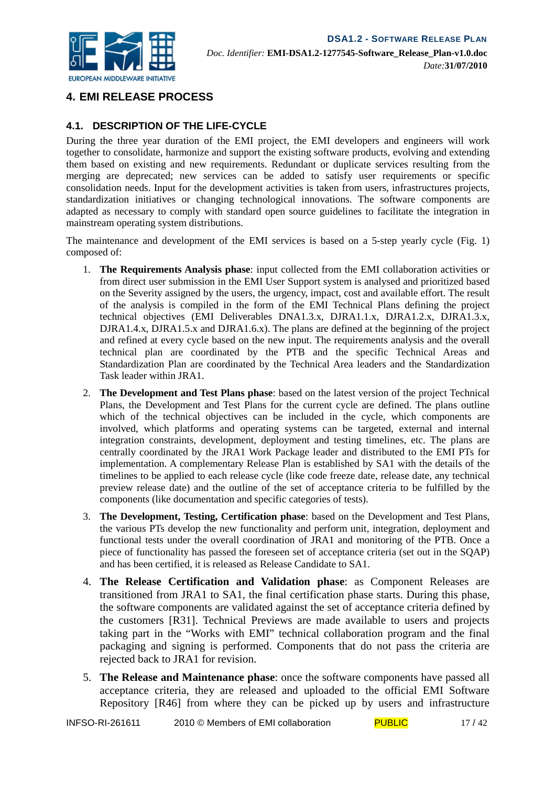

# **4. EMI RELEASE PROCESS**

# **4.1. DESCRIPTION OF THE LIFE-CYCLE**

During the three year duration of the EMI project, the EMI developers and engineers will work together to consolidate, harmonize and support the existing software products, evolving and extending them based on existing and new requirements. Redundant or duplicate services resulting from the merging are deprecated; new services can be added to satisfy user requirements or specific consolidation needs. Input for the development activities is taken from users, infrastructures projects, standardization initiatives or changing technological innovations. The software components are adapted as necessary to comply with standard open source guidelines to facilitate the integration in mainstream operating system distributions.

The maintenance and development of the EMI services is based on a 5-step yearly cycle (Fig. 1) composed of:

- 1. **The Requirements Analysis phase**: input collected from the EMI collaboration activities or from direct user submission in the EMI User Support system is analysed and prioritized based on the Severity assigned by the users, the urgency, impact, cost and available effort. The result of the analysis is compiled in the form of the EMI Technical Plans defining the project technical objectives (EMI Deliverables DNA1.3.x, DJRA1.1.x, DJRA1.2.x, DJRA1.3.x, DJRA1.4.x, DJRA1.5.x and DJRA1.6.x). The plans are defined at the beginning of the project and refined at every cycle based on the new input. The requirements analysis and the overall technical plan are coordinated by the PTB and the specific Technical Areas and Standardization Plan are coordinated by the Technical Area leaders and the Standardization Task leader within JRA1.
- 2. **The Development and Test Plans phase**: based on the latest version of the project Technical Plans, the Development and Test Plans for the current cycle are defined. The plans outline which of the technical objectives can be included in the cycle, which components are involved, which platforms and operating systems can be targeted, external and internal integration constraints, development, deployment and testing timelines, etc. The plans are centrally coordinated by the JRA1 Work Package leader and distributed to the EMI PTs for implementation. A complementary Release Plan is established by SA1 with the details of the timelines to be applied to each release cycle (like code freeze date, release date, any technical preview release date) and the outline of the set of acceptance criteria to be fulfilled by the components (like documentation and specific categories of tests).
- 3. **The Development, Testing, Certification phase**: based on the Development and Test Plans, the various PTs develop the new functionality and perform unit, integration, deployment and functional tests under the overall coordination of JRA1 and monitoring of the PTB. Once a piece of functionality has passed the foreseen set of acceptance criteria (set out in the SQAP) and has been certified, it is released as Release Candidate to SA1.
- 4. **The Release Certification and Validation phase**: as Component Releases are transitioned from JRA1 to SA1, the final certification phase starts. During this phase, the software components are validated against the set of acceptance criteria defined by the customers [R31]. Technical Previews are made available to users and projects taking part in the "Works with EMI" technical collaboration program and the final packaging and signing is performed. Components that do not pass the criteria are rejected back to JRA1 for revision.
- 5. **The Release and Maintenance phase**: once the software components have passed all acceptance criteria, they are released and uploaded to the official EMI Software Repository [R46] from where they can be picked up by users and infrastructure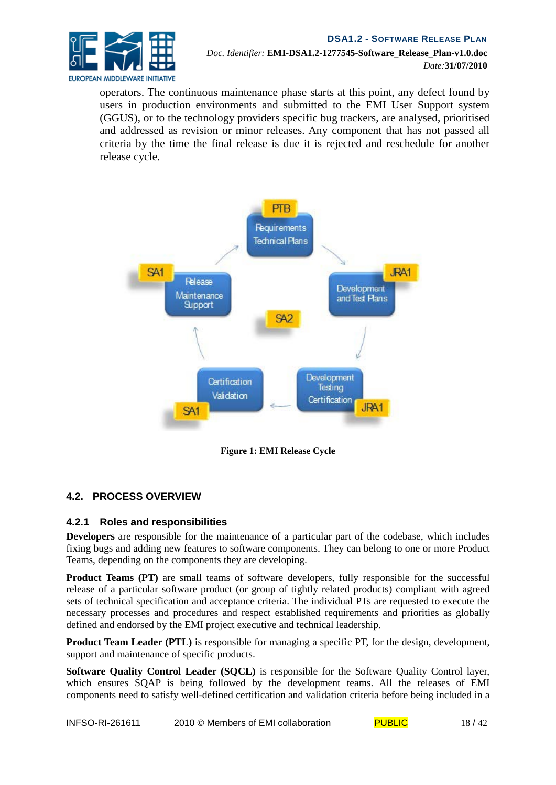

*Doc. Identifier:* **EMI-DSA1.2-1277545-Software\_Release\_Plan-v1.0.doc** *Date:***31/07/2010**

operators. The continuous maintenance phase starts at this point, any defect found by users in production environments and submitted to the EMI User Support system (GGUS), or to the technology providers specific bug trackers, are analysed, prioritised and addressed as revision or minor releases. Any component that has not passed all criteria by the time the final release is due it is rejected and reschedule for another release cycle.



**Figure 1: EMI Release Cycle**

#### **4.2. PROCESS OVERVIEW**

#### **4.2.1 Roles and responsibilities**

**Developers** are responsible for the maintenance of a particular part of the codebase, which includes fixing bugs and adding new features to software components. They can belong to one or more Product Teams, depending on the components they are developing.

**Product Teams (PT)** are small teams of software developers, fully responsible for the successful release of a particular software product (or group of tightly related products) compliant with agreed sets of technical specification and acceptance criteria. The individual PTs are requested to execute the necessary processes and procedures and respect established requirements and priorities as globally defined and endorsed by the EMI project executive and technical leadership.

**Product Team Leader (PTL)** is responsible for managing a specific PT, for the design, development, support and maintenance of specific products.

**Software Quality Control Leader (SQCL)** is responsible for the Software Quality Control layer, which ensures SOAP is being followed by the development teams. All the releases of EMI components need to satisfy well-defined certification and validation criteria before being included in a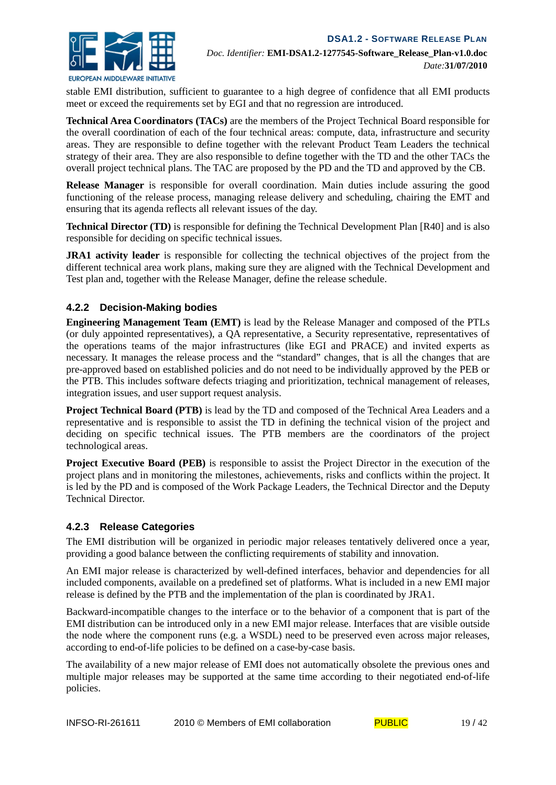

stable EMI distribution, sufficient to guarantee to a high degree of confidence that all EMI products meet or exceed the requirements set by EGI and that no regression are introduced.

**Technical Area Coordinators (TACs)** are the members of the Project Technical Board responsible for the overall coordination of each of the four technical areas: compute, data, infrastructure and security areas. They are responsible to define together with the relevant Product Team Leaders the technical strategy of their area. They are also responsible to define together with the TD and the other TACs the overall project technical plans. The TAC are proposed by the PD and the TD and approved by the CB.

**Release Manager** is responsible for overall coordination. Main duties include assuring the good functioning of the release process, managing release delivery and scheduling, chairing the EMT and ensuring that its agenda reflects all relevant issues of the day.

**Technical Director (TD)** is responsible for defining the Technical Development Plan [R40] and is also responsible for deciding on specific technical issues.

**JRA1 activity leader** is responsible for collecting the technical objectives of the project from the different technical area work plans, making sure they are aligned with the Technical Development and Test plan and, together with the Release Manager, define the release schedule.

#### **4.2.2 Decision-Making bodies**

**Engineering Management Team (EMT)** is lead by the Release Manager and composed of the PTLs (or duly appointed representatives), a QA representative, a Security representative, representatives of the operations teams of the major infrastructures (like EGI and PRACE) and invited experts as necessary. It manages the release process and the "standard" changes, that is all the changes that are pre-approved based on established policies and do not need to be individually approved by the PEB or the PTB. This includes software defects triaging and prioritization, technical management of releases, integration issues, and user support request analysis.

**Project Technical Board (PTB)** is lead by the TD and composed of the Technical Area Leaders and a representative and is responsible to assist the TD in defining the technical vision of the project and deciding on specific technical issues. The PTB members are the coordinators of the project technological areas.

**Project Executive Board (PEB)** is responsible to assist the Project Director in the execution of the project plans and in monitoring the milestones, achievements, risks and conflicts within the project. It is led by the PD and is composed of the Work Package Leaders, the Technical Director and the Deputy Technical Director.

#### **4.2.3 Release Categories**

The EMI distribution will be organized in periodic major releases tentatively delivered once a year, providing a good balance between the conflicting requirements of stability and innovation.

An EMI major release is characterized by well-defined interfaces, behavior and dependencies for all included components, available on a predefined set of platforms. What is included in a new EMI major release is defined by the PTB and the implementation of the plan is coordinated by JRA1.

Backward-incompatible changes to the interface or to the behavior of a component that is part of the EMI distribution can be introduced only in a new EMI major release. Interfaces that are visible outside the node where the component runs (e.g. a WSDL) need to be preserved even across major releases, according to end-of-life policies to be defined on a case-by-case basis.

The availability of a new major release of EMI does not automatically obsolete the previous ones and multiple major releases may be supported at the same time according to their negotiated end-of-life policies.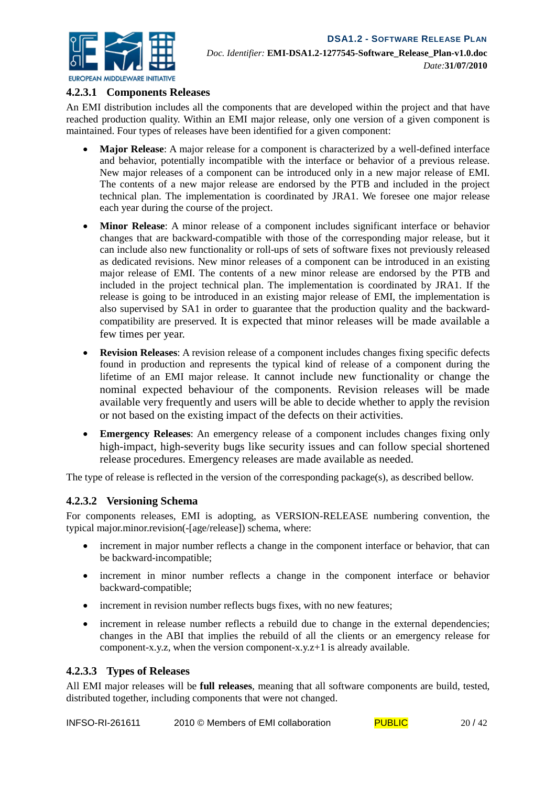

#### **4.2.3.1 Components Releases**

An EMI distribution includes all the components that are developed within the project and that have reached production quality. Within an EMI major release, only one version of a given component is maintained. Four types of releases have been identified for a given component:

- **Major Release**: A major release for a component is characterized by a well-defined interface and behavior, potentially incompatible with the interface or behavior of a previous release. New major releases of a component can be introduced only in a new major release of EMI. The contents of a new major release are endorsed by the PTB and included in the project technical plan. The implementation is coordinated by JRA1. We foresee one major release each year during the course of the project.
- **Minor Release:** A minor release of a component includes significant interface or behavior changes that are backward-compatible with those of the corresponding major release, but it can include also new functionality or roll-ups of sets of software fixes not previously released as dedicated revisions. New minor releases of a component can be introduced in an existing major release of EMI. The contents of a new minor release are endorsed by the PTB and included in the project technical plan. The implementation is coordinated by JRA1. If the release is going to be introduced in an existing major release of EMI, the implementation is also supervised by SA1 in order to guarantee that the production quality and the backwardcompatibility are preserved. It is expected that minor releases will be made available a few times per year.
- **Revision Releases**: A revision release of a component includes changes fixing specific defects found in production and represents the typical kind of release of a component during the lifetime of an EMI major release. It cannot include new functionality or change the nominal expected behaviour of the components. Revision releases will be made available very frequently and users will be able to decide whether to apply the revision or not based on the existing impact of the defects on their activities.
- **Emergency Releases**: An emergency release of a component includes changes fixing only high-impact, high-severity bugs like security issues and can follow special shortened release procedures. Emergency releases are made available as needed.

The type of release is reflected in the version of the corresponding package(s), as described bellow.

#### **4.2.3.2 Versioning Schema**

For components releases, EMI is adopting, as VERSION-RELEASE numbering convention, the typical major.minor.revision(-[age/release]) schema, where:

- increment in major number reflects a change in the component interface or behavior, that can be backward-incompatible;
- increment in minor number reflects a change in the component interface or behavior backward-compatible;
- increment in revision number reflects bugs fixes, with no new features;
- increment in release number reflects a rebuild due to change in the external dependencies; changes in the ABI that implies the rebuild of all the clients or an emergency release for component-x.y.z, when the version component-x.y.z+1 is already available.

#### **4.2.3.3 Types of Releases**

All EMI major releases will be **full releases***,* meaning that all software components are build, tested, distributed together, including components that were not changed.

| INFSO-RI-261611 | 2010 © Members of EMI collaboration | <b>PUBLIC</b> | 20/42 |
|-----------------|-------------------------------------|---------------|-------|
|-----------------|-------------------------------------|---------------|-------|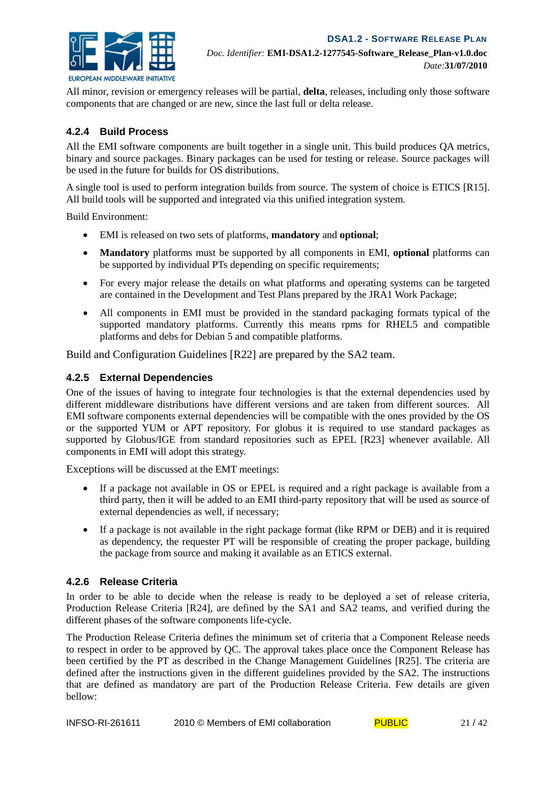

All minor, revision or emergency releases will be partial, **delta**, releases, including only those software components that are changed or are new, since the last full or delta release.

#### **4.2.4 Build Process**

All the EMI software components are built together in a single unit. This build produces QA metrics, binary and source packages. Binary packages can be used for testing or release. Source packages will be used in the future for builds for OS distributions.

A single tool is used to perform integration builds from source. The system of choice is ETICS [R15]. All build tools will be supported and integrated via this unified integration system.

Build Environment:

- EMI is released on two sets of platforms, **mandatory** and **optional**;
- **Mandatory** platforms must be supported by all components in EMI, **optional** platforms can be supported by individual PTs depending on specific requirements;
- For every major release the details on what platforms and operating systems can be targeted are contained in the Development and Test Plans prepared by the JRA1 Work Package;
- All components in EMI must be provided in the standard packaging formats typical of the supported mandatory platforms. Currently this means rpms for RHEL5 and compatible platforms and debs for Debian 5 and compatible platforms.

Build and Configuration Guidelines [R22] are prepared by the SA2 team.

#### **4.2.5 External Dependencies**

One of the issues of having to integrate four technologies is that the external dependencies used by different middleware distributions have different versions and are taken from different sources. All EMI software components external dependencies will be compatible with the ones provided by the OS or the supported YUM or APT repository. For globus it is required to use standard packages as supported by Globus/IGE from standard repositories such as EPEL [R23] whenever available. All components in EMI will adopt this strategy.

Exceptions will be discussed at the EMT meetings:

- If a package not available in OS or EPEL is required and a right package is available from a third party, then it will be added to an EMI third-party repository that will be used as source of external dependencies as well, if necessary;
- If a package is not available in the right package format (like RPM or DEB) and it is required as dependency, the requester PT will be responsible of creating the proper package, building the package from source and making it available as an ETICS external.

#### **4.2.6 Release Criteria**

In order to be able to decide when the release is ready to be deployed a set of release criteria, Production Release Criteria [R24], are defined by the SA1 and SA2 teams, and verified during the different phases of the software components life-cycle.

The Production Release Criteria defines the minimum set of criteria that a Component Release needs to respect in order to be approved by QC. The approval takes place once the Component Release has been certified by the PT as described in the Change Management Guidelines [R25]. The criteria are defined after the instructions given in the different guidelines provided by the SA2. The instructions that are defined as mandatory are part of the Production Release Criteria. Few details are given bellow: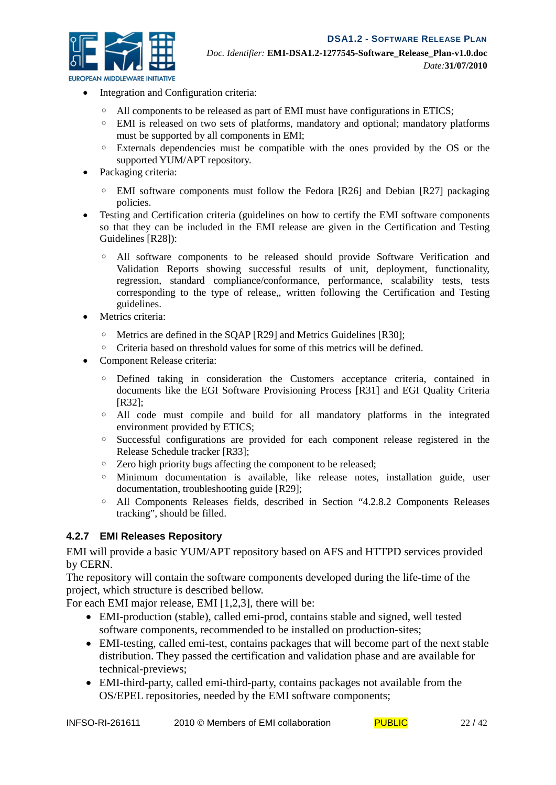

- Integration and Configuration criteria:
	- All components to be released as part of EMI must have configurations in ETICS;
	- EMI is released on two sets of platforms, mandatory and optional; mandatory platforms must be supported by all components in EMI;
	- Externals dependencies must be compatible with the ones provided by the OS or the supported YUM/APT repository.
- Packaging criteria:
	- EMI software components must follow the Fedora [R26] and Debian [R27] packaging policies.
- Testing and Certification criteria (guidelines on how to certify the EMI software components so that they can be included in the EMI release are given in the Certification and Testing Guidelines [R28]):
	- All software components to be released should provide Software Verification and Validation Reports showing successful results of unit, deployment, functionality, regression, standard compliance/conformance, performance, scalability tests, tests corresponding to the type of release, written following the Certification and Testing guidelines.
- Metrics criteria:
	- Metrics are defined in the SQAP [R29] and Metrics Guidelines [R30];
	- Criteria based on threshold values for some of this metrics will be defined.
- Component Release criteria:
	- Defined taking in consideration the Customers acceptance criteria, contained in documents like the EGI Software Provisioning Process [R31] and EGI Quality Criteria [R32];
	- All code must compile and build for all mandatory platforms in the integrated environment provided by ETICS;
	- Successful configurations are provided for each component release registered in the Release Schedule tracker [R33];
	- Zero high priority bugs affecting the component to be released;
	- Minimum documentation is available, like release notes, installation guide, user documentation, troubleshooting guide [R29];
	- All Components Releases fields, described in Section "4.2.8.2 Components Releases tracking", should be filled.

#### **4.2.7 EMI Releases Repository**

EMI will provide a basic YUM/APT repository based on AFS and HTTPD services provided by CERN.

The repository will contain the software components developed during the life-time of the project, which structure is described bellow.

For each EMI major release, EMI [1,2,3], there will be:

- EMI-production (stable), called emi-prod, contains stable and signed, well tested software components, recommended to be installed on production-sites;
- EMI-testing, called emi-test, contains packages that will become part of the next stable distribution. They passed the certification and validation phase and are available for technical-previews;
- EMI-third-party, called emi-third-party, contains packages not available from the OS/EPEL repositories, needed by the EMI software components;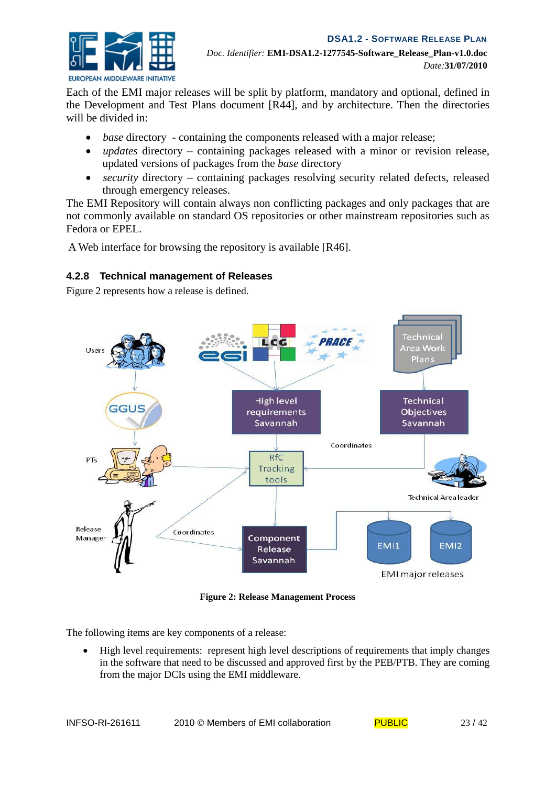

Each of the EMI major releases will be split by platform, mandatory and optional, defined in the Development and Test Plans document [R44], and by architecture. Then the directories will be divided in:

- *base* directory containing the components released with a major release;
- *updates* directory containing packages released with a minor or revision release, updated versions of packages from the *base* directory
- *security* directory containing packages resolving security related defects, released through emergency releases.

The EMI Repository will contain always non conflicting packages and only packages that are not commonly available on standard OS repositories or other mainstream repositories such as Fedora or EPEL.

A Web interface for browsing the repository is available [R46].

# **4.2.8 Technical management of Releases**

Figure 2 represents how a release is defined.



**Figure 2: Release Management Process**

The following items are key components of a release:

• High level requirements: represent high level descriptions of requirements that imply changes in the software that need to be discussed and approved first by the PEB/PTB. They are coming from the major DCIs using the EMI middleware.

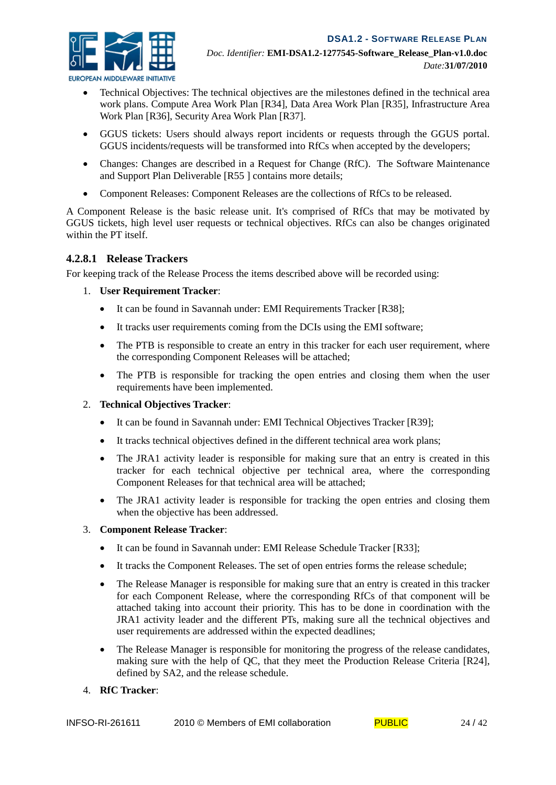

- *EUROPEAN MIDDLEWARE INITIATIVE* 
	- Technical Objectives: The technical objectives are the milestones defined in the technical area work plans. Compute Area Work Plan [R34], Data Area Work Plan [R35], Infrastructure Area Work Plan [R36], Security Area Work Plan [R37].
	- GGUS tickets: Users should always report incidents or requests through the GGUS portal. GGUS incidents/requests will be transformed into RfCs when accepted by the developers;
	- Changes: Changes are described in a Request for Change (RfC). The Software Maintenance and Support Plan Deliverable [R55 ] contains more details;
	- Component Releases: Component Releases are the collections of RfCs to be released.

A Component Release is the basic release unit. It's comprised of RfCs that may be motivated by GGUS tickets, high level user requests or technical objectives. RfCs can also be changes originated within the PT itself.

#### **4.2.8.1 Release Trackers**

For keeping track of the Release Process the items described above will be recorded using:

#### 1. **User Requirement Tracker**:

- It can be found in Savannah under: EMI Requirements Tracker [R38];
- It tracks user requirements coming from the DCIs using the EMI software;
- The PTB is responsible to create an entry in this tracker for each user requirement, where the corresponding Component Releases will be attached;
- The PTB is responsible for tracking the open entries and closing them when the user requirements have been implemented.

#### 2. **Technical Objectives Tracker**:

- It can be found in Savannah under: EMI Technical Objectives Tracker [R39];
- It tracks technical objectives defined in the different technical area work plans;
- The JRA1 activity leader is responsible for making sure that an entry is created in this tracker for each technical objective per technical area, where the corresponding Component Releases for that technical area will be attached;
- The JRA1 activity leader is responsible for tracking the open entries and closing them when the objective has been addressed.

#### 3. **Component Release Tracker**:

- It can be found in Savannah under: EMI Release Schedule Tracker [R33]:
- It tracks the Component Releases. The set of open entries forms the release schedule;
- The Release Manager is responsible for making sure that an entry is created in this tracker for each Component Release, where the corresponding RfCs of that component will be attached taking into account their priority. This has to be done in coordination with the JRA1 activity leader and the different PTs, making sure all the technical objectives and user requirements are addressed within the expected deadlines;
- The Release Manager is responsible for monitoring the progress of the release candidates, making sure with the help of QC, that they meet the Production Release Criteria [R24], defined by SA2, and the release schedule.

#### 4. **RfC Tracker**: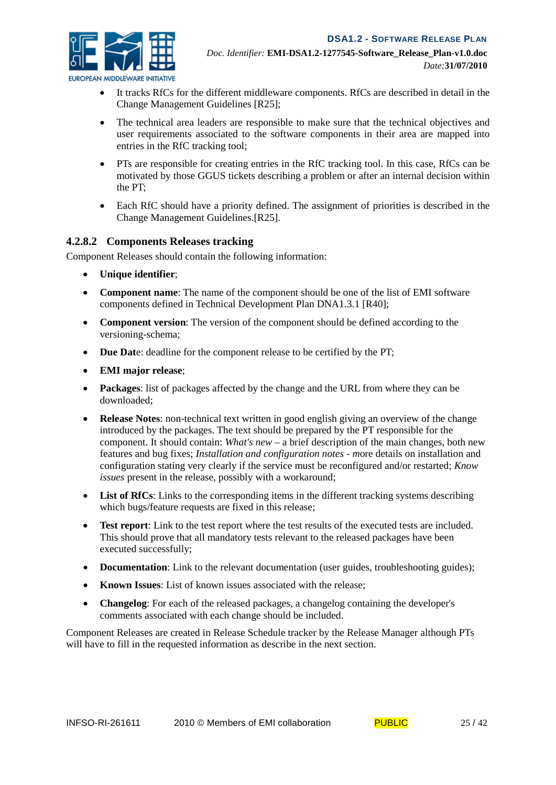

- It tracks RfCs for the different middleware components. RfCs are described in detail in the Change Management Guidelines [R25];
- The technical area leaders are responsible to make sure that the technical objectives and user requirements associated to the software components in their area are mapped into entries in the RfC tracking tool;
- PTs are responsible for creating entries in the RfC tracking tool. In this case, RfCs can be motivated by those GGUS tickets describing a problem or after an internal decision within the PT;
- Each RfC should have a priority defined. The assignment of priorities is described in the Change Management Guidelines.[R25].

#### **4.2.8.2 Components Releases tracking**

Component Releases should contain the following information:

- **Unique identifier**;
- **Component name**: The name of the component should be one of the list of EMI software components defined i[n Technical Development Plan DNA1.3.1](https://twiki.cern.ch/twiki/bin/view/EMI/DeliverableDNA131) [R40];
- **Component version**: The version of the component should be defined according to the versioning-schema;
- **Due Date:** deadline for the component release to be certified by the PT;
- **EMI major release**;
- **Packages**: list of packages affected by the change and the URL from where they can be downloaded;
- **Release Notes**: non-technical text written in good english giving an overview of the change introduced by the packages. The text should be prepared by the PT responsible for the component. It should contain: *What's new* – a brief description of the main changes, both new features and bug fixes; *Installation and configuration notes - m*ore details on installation and configuration stating very clearly if the service must be reconfigured and/or restarted; *Know issues* present in the release, possibly with a workaround;
- **List of RfCs**: Links to the corresponding items in the different tracking systems describing which bugs/feature requests are fixed in this release;
- **Test report**: Link to the test report where the test results of the executed tests are included. This should prove that all mandatory tests relevant to the released packages have been executed successfully;
- **Documentation**: Link to the relevant documentation (user guides, troubleshooting guides);
- **Known Issues**: List of known issues associated with the release;
- **Changelog**: For each of the released packages, a changelog containing the developer's comments associated with each change should be included.

Component Releases are created in Release Schedule tracker by the Release Manager although PTs will have to fill in the requested information as describe in the next section.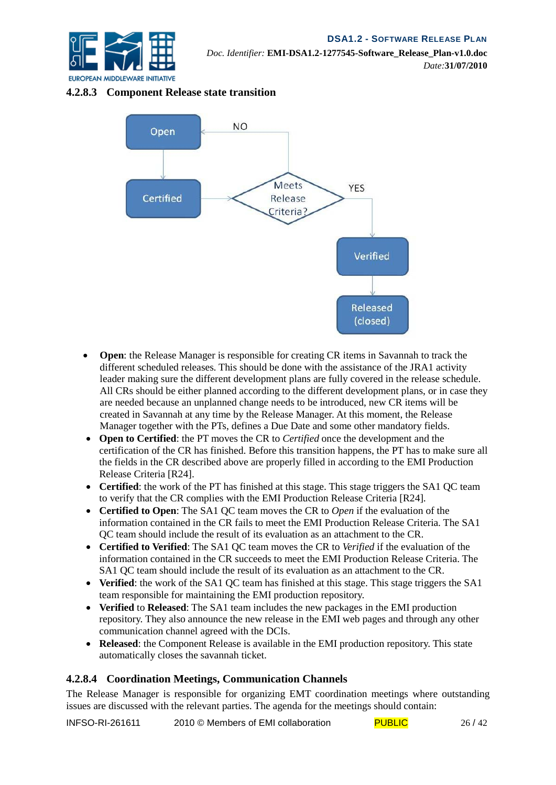

#### **4.2.8.3 Component Release state transition**



- **Open**: the Release Manager is responsible for creating CR items in Savannah to track the different scheduled releases. This should be done with the assistance of the JRA1 activity leader making sure the different development plans are fully covered in the release schedule. All CRs should be either planned according to the different development plans, or in case they are needed because an unplanned change needs to be introduced, new CR items will be created in Savannah at any time by the Release Manager. At this moment, the Release Manager together with the PTs, defines a Due Date and some other mandatory fields.
- **Open to Certified**: the PT moves the CR to *Certified* once the development and the certification of the CR has finished. Before this transition happens, the PT has to make sure all the fields in the CR described above are properly filled in according to the EMI Production Release Criteria [R24].
- **Certified**: the work of the PT has finished at this stage. This stage triggers the SA1 OC team to verify that the CR complies with the EMI Production Release Criteria [R24].
- **Certified to Open**: The SA1 QC team moves the CR to *Open* if the evaluation of the information contained in the CR fails to meet the EMI Production Release Criteria. The SA1 QC team should include the result of its evaluation as an attachment to the CR.
- **Certified to Verified**: The SA1 QC team moves the CR to *Verified* if the evaluation of the information contained in the CR succeeds to meet the EMI Production Release Criteria. The SA1 QC team should include the result of its evaluation as an attachment to the CR.
- **Verified**: the work of the SA1 OC team has finished at this stage. This stage triggers the SA1 team responsible for maintaining the EMI production repository.
- **Verified** to **Released**: The SA1 team includes the new packages in the EMI production repository. They also announce the new release in the EMI web pages and through any other communication channel agreed with the DCIs.
- **Released**: the Component Release is available in the EMI production repository. This state automatically closes the savannah ticket.

#### **4.2.8.4 Coordination Meetings, Communication Channels**

The Release Manager is responsible for organizing EMT coordination meetings where outstanding issues are discussed with the relevant parties. The agenda for the meetings should contain:

INFSO-RI-261611 2010 © Members of EMI collaboration  $PUBLIC$  26/42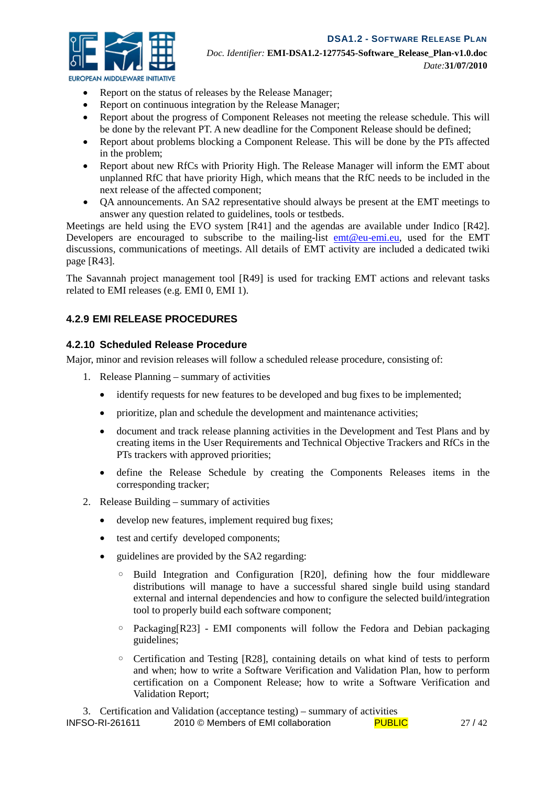

*EUROPEAN MIDDLEWARE INITIATIVE* 

- Report on the status of releases by the Release Manager;
- Report on continuous integration by the Release Manager;
- Report about the progress of Component Releases not meeting the release schedule. This will be done by the relevant PT. A new deadline for the Component Release should be defined;
- Report about problems blocking a Component Release. This will be done by the PTs affected in the problem;
- Report about new RfCs with Priority High. The Release Manager will inform the EMT about unplanned RfC that have priority High, which means that the RfC needs to be included in the next release of the affected component;
- QA announcements. An SA2 representative should always be present at the EMT meetings to answer any question related to guidelines, tools or testbeds.

Meetings are held using the EVO system [R41] and the agendas are available under Indico [R42]. Developers are encouraged to subscribe to the mailing-list [emt@eu-emi.eu,](mailto:emt@eu-emi.eu) used for the EMT discussions, communications of meetings. All details of EMT activity are included a dedicated twiki page [R43].

The Savannah project management tool [R49] is used for tracking EMT actions and relevant tasks related to EMI releases (e.g. EMI 0, EMI 1).

#### **4.2.9 EMI RELEASE PROCEDURES**

#### **4.2.10 Scheduled Release Procedure**

Major, minor and revision releases will follow a scheduled release procedure, consisting of:

- 1. Release Planning summary of activities
	- identify requests for new features to be developed and bug fixes to be implemented;
	- prioritize, plan and schedule the development and maintenance activities;
	- document and track release planning activities in the Development and Test Plans and by creating items in the User Requirements and Technical Objective Trackers and RfCs in the PTs trackers with approved priorities;
	- define the Release Schedule by creating the Components Releases items in the corresponding tracker;
- 2. Release Building summary of activities
	- develop new features, implement required bug fixes;
	- test and certify developed components;
	- guidelines are provided by the SA2 regarding:
		- Build Integration and Configuration [R20], defining how the four middleware distributions will manage to have a successful shared single build using standard external and internal dependencies and how to configure the selected build/integration tool to properly build each software component;
		- Packaging[R23] EMI components will follow the Fedora and Debian packaging guidelines;
		- Certification and Testing [R28], containing details on what kind of tests to perform and when; how to write a Software Verification and Validation Plan, how to perform certification on a Component Release; how to write a Software Verification and Validation Report;

3. Certification and Validation (acceptance testing) – summary of activities

| INFSO-RI-261611<br>2010 © Members of EMI collaboration<br><b>PUBLIC</b> | 27/42 |
|-------------------------------------------------------------------------|-------|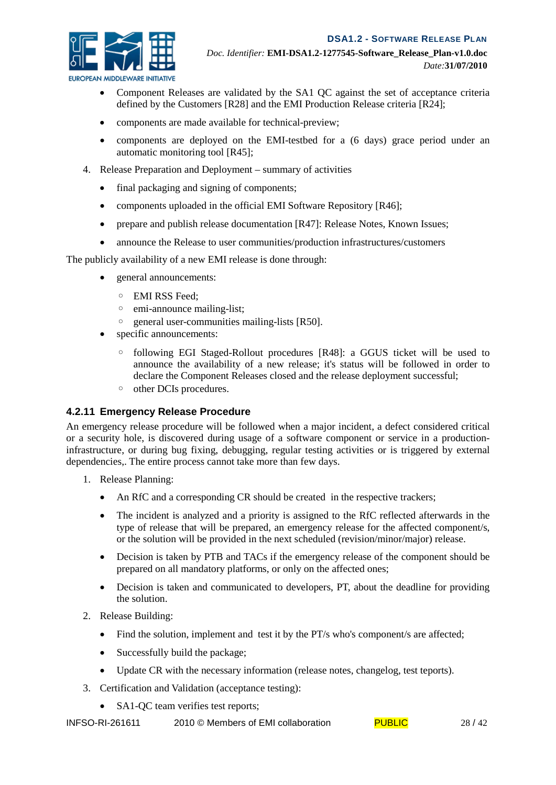

- *EUROPEAN MIDDLEWARE INITIATIVE* 
	- Component Releases are validated by the SA1 QC against the set of acceptance criteria defined by the Customers [R28] and the EMI Production Release criteria [R24];
	- components are made available for technical-preview;
	- components are deployed on the EMI-testbed for a (6 days) grace period under an automatic monitoring tool [R45];
	- 4. Release Preparation and Deployment summary of activities
		- final packaging and signing of components;
		- components uploaded in the official EMI Software Repository [R46];
		- prepare and publish release documentation [R47]: Release Notes, Known Issues;
		- announce the Release to user communities/production infrastructures/customers

The publicly availability of a new EMI release is done through:

- general announcements:
	- EMI RSS Feed;
	- emi-announce mailing-list;
	- general user-communities mailing-lists [R50].
- specific announcements:
	- following EGI Staged-Rollout procedures [R48]: a GGUS ticket will be used to announce the availability of a new release; it's status will be followed in order to declare the Component Releases closed and the release deployment successful;
	- other DCIs procedures.

#### **4.2.11 Emergency Release Procedure**

An emergency release procedure will be followed when a major incident, a defect considered critical or a security hole, is discovered during usage of a software component or service in a productioninfrastructure, or during bug fixing, debugging, regular testing activities or is triggered by external dependencies,. The entire process cannot take more than few days.

- 1. Release Planning:
	- An RfC and a corresponding CR should be created in the respective trackers;
	- The incident is analyzed and a priority is assigned to the RfC reflected afterwards in the type of release that will be prepared, an emergency release for the affected component/s, or the solution will be provided in the next scheduled (revision/minor/major) release.
	- Decision is taken by PTB and TACs if the emergency release of the component should be prepared on all mandatory platforms, or only on the affected ones;
	- Decision is taken and communicated to developers, PT, about the deadline for providing the solution.
- 2. Release Building:
	- Find the solution, implement and test it by the PT/s who's component/s are affected;
	- Successfully build the package:
	- Update CR with the necessary information (release notes, changelog, test teports).
- 3. Certification and Validation (acceptance testing):
	- SA1-QC team verifies test reports;

INFSO-RI-261611 2010 © Members of EMI collaboration PUBLIC 28/42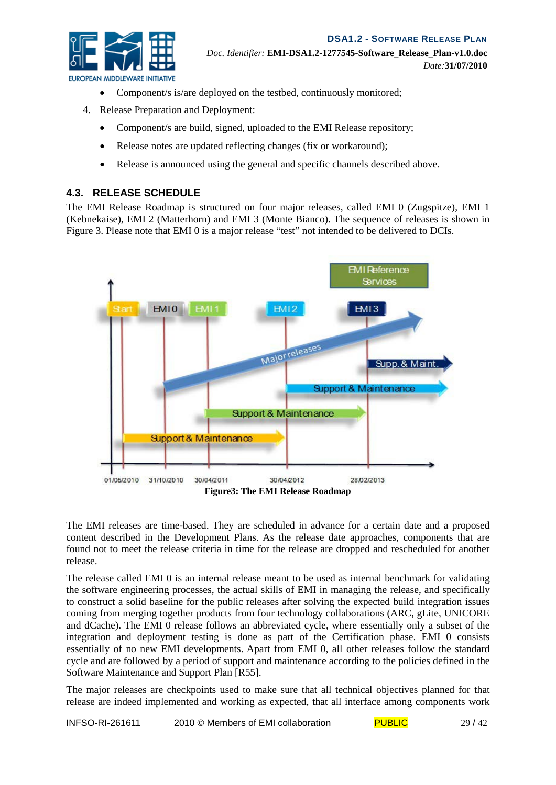

- Component/s is/are deployed on the testbed, continuously monitored;
- 4. Release Preparation and Deployment:
	- Component/s are build, signed, uploaded to the EMI Release repository;
	- Release notes are updated reflecting changes (fix or workaround);
	- Release is announced using the general and specific channels described above.

#### **4.3. RELEASE SCHEDULE**

The EMI Release Roadmap is structured on four major releases, called EMI 0 (Zugspitze), EMI 1 (Kebnekaise), EMI 2 (Matterhorn) and EMI 3 (Monte Bianco). The sequence of releases is shown in Figure 3. Please note that EMI 0 is a major release "test" not intended to be delivered to DCIs.



The EMI releases are time-based. They are scheduled in advance for a certain date and a proposed content described in the Development Plans. As the release date approaches, components that are found not to meet the release criteria in time for the release are dropped and rescheduled for another release.

The release called EMI 0 is an internal release meant to be used as internal benchmark for validating the software engineering processes, the actual skills of EMI in managing the release, and specifically to construct a solid baseline for the public releases after solving the expected build integration issues coming from merging together products from four technology collaborations (ARC, gLite, UNICORE and dCache). The EMI 0 release follows an abbreviated cycle, where essentially only a subset of the integration and deployment testing is done as part of the Certification phase. EMI 0 consists essentially of no new EMI developments. Apart from EMI 0, all other releases follow the standard cycle and are followed by a period of support and maintenance according to the policies defined in the Software Maintenance and Support Plan [R55].

The major releases are checkpoints used to make sure that all technical objectives planned for that release are indeed implemented and working as expected, that all interface among components work

INFSO-RI-261611 2010 © Members of EMI collaboration  $PUBLIC$  29/42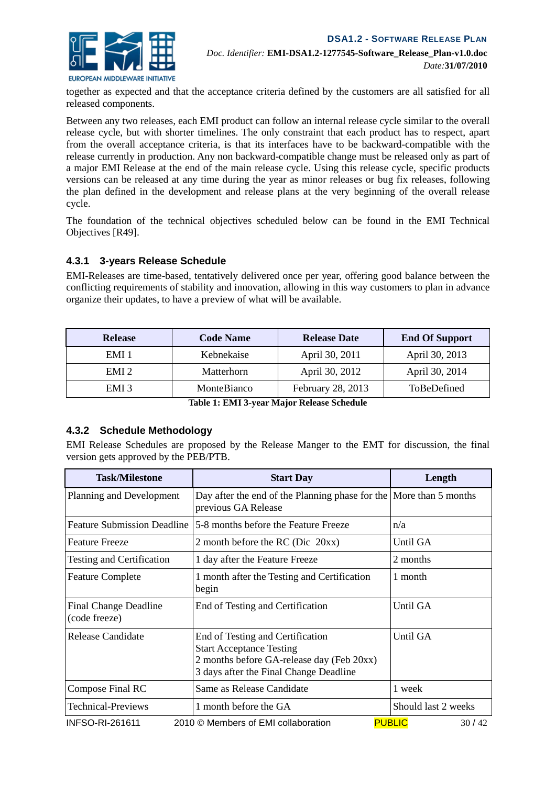

together as expected and that the acceptance criteria defined by the customers are all satisfied for all released components.

Between any two releases, each EMI product can follow an internal release cycle similar to the overall release cycle, but with shorter timelines. The only constraint that each product has to respect, apart from the overall acceptance criteria, is that its interfaces have to be backward-compatible with the release currently in production. Any non backward-compatible change must be released only as part of a major EMI Release at the end of the main release cycle. Using this release cycle, specific products versions can be released at any time during the year as minor releases or bug fix releases, following the plan defined in the development and release plans at the very beginning of the overall release cycle.

The foundation of the technical objectives scheduled below can be found in the EMI Technical Objectives [R49].

#### **4.3.1 3-years Release Schedule**

EMI-Releases are time-based, tentatively delivered once per year, offering good balance between the conflicting requirements of stability and innovation, allowing in this way customers to plan in advance organize their updates, to have a preview of what will be available.

| <b>Release</b>   | <b>Code Name</b> | <b>Release Date</b> | <b>End Of Support</b> |
|------------------|------------------|---------------------|-----------------------|
| EMI 1            | Kebnekaise       | April 30, 2011      | April 30, 2013        |
| EMI <sub>2</sub> | Matterhorn       | April 30, 2012      | April 30, 2014        |
| EMI <sub>3</sub> | MonteBianco      | February 28, 2013   | ToBeDefined           |

**Table 1: EMI 3-year Major Release Schedule**

#### **4.3.2 Schedule Methodology**

EMI Release Schedules are proposed by the Release Manger to the EMT for discussion, the final version gets approved by the PEB/PTB.

| <b>Task/Milestone</b>                         | <b>Start Day</b>                                                                                                                                           | Length                 |
|-----------------------------------------------|------------------------------------------------------------------------------------------------------------------------------------------------------------|------------------------|
| Planning and Development                      | Day after the end of the Planning phase for the More than 5 months<br>previous GA Release                                                                  |                        |
| <b>Feature Submission Deadline</b>            | 5-8 months before the Feature Freeze                                                                                                                       | n/a                    |
| <b>Feature Freeze</b>                         | 2 month before the RC (Dic $20xx$ )                                                                                                                        | Until GA               |
| Testing and Certification                     | 1 day after the Feature Freeze                                                                                                                             | 2 months               |
| <b>Feature Complete</b>                       | 1 month after the Testing and Certification<br>begin                                                                                                       | 1 month                |
| <b>Final Change Deadline</b><br>(code freeze) | End of Testing and Certification                                                                                                                           | Until GA               |
| Release Candidate                             | End of Testing and Certification<br><b>Start Acceptance Testing</b><br>2 months before GA-release day (Feb 20xx)<br>3 days after the Final Change Deadline | Until GA               |
| Compose Final RC                              | Same as Release Candidate                                                                                                                                  | 1 week                 |
| <b>Technical-Previews</b>                     | 1 month before the GA                                                                                                                                      | Should last 2 weeks    |
| <b>INFSO-RI-261611</b>                        | 2010 © Members of EMI collaboration                                                                                                                        | <b>PUBLIC</b><br>30/42 |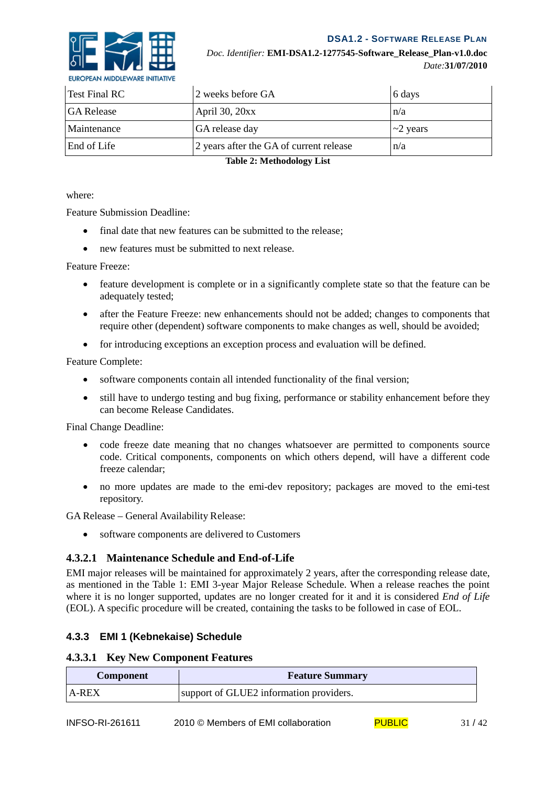



| Test Final RC                                                 | 2 weeks before GA | 6 days         |
|---------------------------------------------------------------|-------------------|----------------|
| <b>GA Release</b>                                             | April 30, 20xx    | n/a            |
| Maintenance                                                   | GA release day    | $\sim$ 2 years |
| End of Life<br>2 years after the GA of current release<br>n/a |                   |                |

**Table 2: Methodology List**

where:

Feature Submission Deadline:

- final date that new features can be submitted to the release:
- new features must be submitted to next release.

Feature Freeze:

- feature development is complete or in a significantly complete state so that the feature can be adequately tested;
- after the Feature Freeze: new enhancements should not be added; changes to components that require other (dependent) software components to make changes as well, should be avoided;
- for introducing exceptions an exception process and evaluation will be defined.

Feature Complete:

- software components contain all intended functionality of the final version;
- still have to undergo testing and bug fixing, performance or stability enhancement before they can become Release Candidates.

Final Change Deadline:

- code freeze date meaning that no changes whatsoever are permitted to components source code. Critical components, components on which others depend, will have a different code freeze calendar;
- no more updates are made to the emi-dev repository; packages are moved to the emi-test repository.

GA Release – General Availability Release:

• software components are delivered to Customers

#### **4.3.2.1 Maintenance Schedule and End-of-Life**

EMI major releases will be maintained for approximately 2 years, after the corresponding release date, as mentioned in the Table 1: EMI 3-year Major Release Schedule. When a release reaches the point where it is no longer supported, updates are no longer created for it and it is considered *End of Life* (EOL). A specific procedure will be created, containing the tasks to be followed in case of EOL.

#### **4.3.3 EMI 1 (Kebnekaise) Schedule**

#### **4.3.3.1 Key New Component Features**

| <b>Component</b> | <b>Feature Summary</b>                  |
|------------------|-----------------------------------------|
| $A-REX$          | support of GLUE2 information providers. |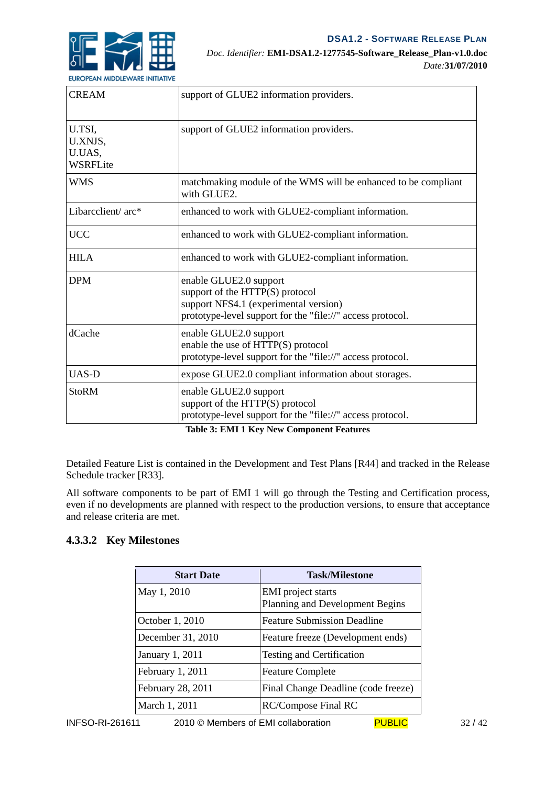

| <b>CREAM</b>                                   | support of GLUE2 information providers.                                                                                                                          |
|------------------------------------------------|------------------------------------------------------------------------------------------------------------------------------------------------------------------|
| U.TSI,<br>U.XNJS,<br>U.UAS,<br><b>WSRFLite</b> | support of GLUE2 information providers.                                                                                                                          |
| <b>WMS</b>                                     | matchmaking module of the WMS will be enhanced to be compliant<br>with GLUE2.                                                                                    |
| Libarcclient/ arc*                             | enhanced to work with GLUE2-compliant information.                                                                                                               |
| <b>UCC</b>                                     | enhanced to work with GLUE2-compliant information.                                                                                                               |
| <b>HILA</b>                                    | enhanced to work with GLUE2-compliant information.                                                                                                               |
| <b>DPM</b>                                     | enable GLUE2.0 support<br>support of the HTTP(S) protocol<br>support NFS4.1 (experimental version)<br>prototype-level support for the "file://" access protocol. |
| dCache                                         | enable GLUE2.0 support<br>enable the use of HTTP(S) protocol<br>prototype-level support for the "file://" access protocol.                                       |
| <b>UAS-D</b>                                   | expose GLUE2.0 compliant information about storages.                                                                                                             |
| <b>StoRM</b>                                   | enable GLUE2.0 support<br>support of the HTTP(S) protocol<br>prototype-level support for the "file://" access protocol.                                          |

**Table 3: EMI 1 Key New Component Features**

Detailed Feature List is contained in the Development and Test Plans [R44] and tracked in the Release Schedule tracker [R33].

All software components to be part of EMI 1 will go through the Testing and Certification process, even if no developments are planned with respect to the production versions, to ensure that acceptance and release criteria are met.

#### **4.3.3.2 Key Milestones**

| <b>Start Date</b> | <b>Task/Milestone</b>                                        |
|-------------------|--------------------------------------------------------------|
| May 1, 2010       | <b>EMI</b> project starts<br>Planning and Development Begins |
| October 1, 2010   | <b>Feature Submission Deadline</b>                           |
| December 31, 2010 | Feature freeze (Development ends)                            |
| January 1, 2011   | Testing and Certification                                    |
| February 1, 2011  | <b>Feature Complete</b>                                      |
| February 28, 2011 | Final Change Deadline (code freeze)                          |
| March 1, 2011     | <b>RC/Compose Final RC</b>                                   |
|                   |                                                              |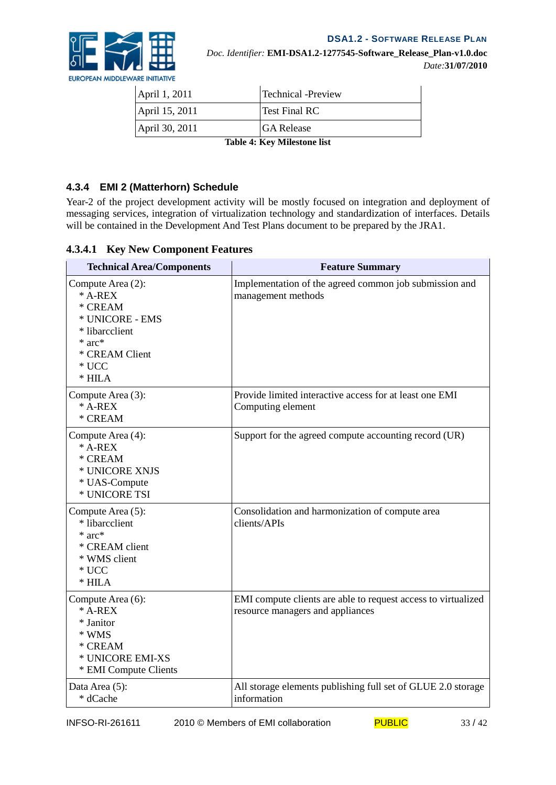

| April 1, 2011               | <b>Technical -Preview</b> |
|-----------------------------|---------------------------|
| April 15, 2011              | Test Final RC             |
| April 30, 2011              | <b>GA Release</b>         |
| Table 4. Key Milestone list |                           |

**Table 4: Key Milestone list**

# **4.3.4 EMI 2 (Matterhorn) Schedule**

Year-2 of the project development activity will be mostly focused on integration and deployment of messaging services, integration of virtualization technology and standardization of interfaces. Details will be contained in the Development And Test Plans document to be prepared by the JRA1.

| <b>Technical Area/Components</b>                                                                                                       | <b>Feature Summary</b>                                                                            |
|----------------------------------------------------------------------------------------------------------------------------------------|---------------------------------------------------------------------------------------------------|
| Compute Area (2):<br>$*$ A-REX<br>* CREAM<br>* UNICORE - EMS<br>* libarcclient<br>$*$ arc $*$<br>* CREAM Client<br>$*$ UCC<br>$*$ HILA | Implementation of the agreed common job submission and<br>management methods                      |
| Compute Area (3):<br>$*$ A-REX<br>* CREAM                                                                                              | Provide limited interactive access for at least one EMI<br>Computing element                      |
| Compute Area (4):<br>$*$ A-REX<br>* CREAM<br>* UNICORE XNJS<br>* UAS-Compute<br>* UNICORE TSI                                          | Support for the agreed compute accounting record (UR)                                             |
| Compute Area (5):<br>* libarcclient<br>$*$ arc $*$<br>* CREAM client<br>* WMS client<br>$*$ UCC<br>$*$ HILA                            | Consolidation and harmonization of compute area<br>clients/APIs                                   |
| Compute Area (6):<br>$*$ A-REX<br>* Janitor<br>* WMS<br>* CREAM<br>* UNICORE EMI-XS<br>* EMI Compute Clients                           | EMI compute clients are able to request access to virtualized<br>resource managers and appliances |
| Data Area (5):<br>* dCache                                                                                                             | All storage elements publishing full set of GLUE 2.0 storage<br>information                       |

#### **4.3.4.1 Key New Component Features**

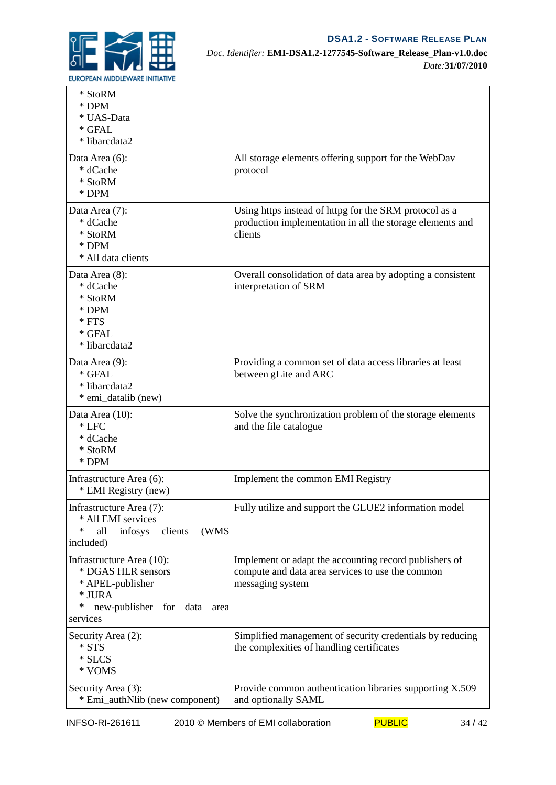

#### *Doc. Identifier:* **EMI-DSA1.2-1277545-Software\_Release\_Plan-v1.0.doc** *Date:***31/07/2010**

| * StoRM<br>$*$ DPM<br>* UAS-Data<br>* GFAL<br>* libarcdata2                                                                      |                                                                                                                                |
|----------------------------------------------------------------------------------------------------------------------------------|--------------------------------------------------------------------------------------------------------------------------------|
| Data Area (6):<br>* dCache<br>* StoRM<br>* DPM                                                                                   | All storage elements offering support for the WebDav<br>protocol                                                               |
| Data Area (7):<br>* dCache<br>* StoRM<br>$*$ DPM<br>* All data clients                                                           | Using https instead of httpg for the SRM protocol as a<br>production implementation in all the storage elements and<br>clients |
| Data Area (8):<br>* dCache<br>* StoRM<br>* DPM<br>$*$ FTS<br>$*$ GFAL<br>* libarcdata2                                           | Overall consolidation of data area by adopting a consistent<br>interpretation of SRM                                           |
| Data Area (9):<br>* GFAL<br>* libarcdata2<br>* emi_datalib (new)                                                                 | Providing a common set of data access libraries at least<br>between gLite and ARC                                              |
| Data Area (10):<br>$*$ LFC<br>* dCache<br>* StoRM<br>* DPM                                                                       | Solve the synchronization problem of the storage elements<br>and the file catalogue                                            |
| Infrastructure Area (6):<br>* EMI Registry (new)                                                                                 | Implement the common EMI Registry                                                                                              |
| Infrastructure Area (7):<br>* All EMI services<br>(WMS<br>∗<br>all<br>infosys<br>clients<br>included)                            | Fully utilize and support the GLUE2 information model                                                                          |
| Infrastructure Area (10):<br>* DGAS HLR sensors<br>* APEL-publisher<br>* JURA<br>new-publisher for data<br>∗<br>area<br>services | Implement or adapt the accounting record publishers of<br>compute and data area services to use the common<br>messaging system |
| Security Area (2):<br>* STS<br>* SLCS<br>* VOMS                                                                                  | Simplified management of security credentials by reducing<br>the complexities of handling certificates                         |
| Security Area (3):<br>* Emi_authNlib (new component)                                                                             | Provide common authentication libraries supporting X.509<br>and optionally SAML                                                |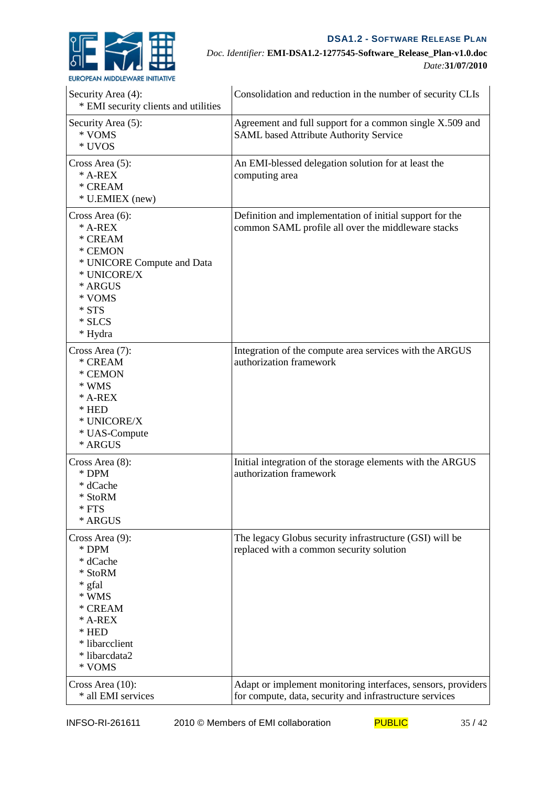

#### *Doc. Identifier:* **EMI-DSA1.2-1277545-Software\_Release\_Plan-v1.0.doc** *Date:***31/07/2010**

| Security Area (4):<br>* EMI security clients and utilities                                                                                         | Consolidation and reduction in the number of security CLIs                                                              |
|----------------------------------------------------------------------------------------------------------------------------------------------------|-------------------------------------------------------------------------------------------------------------------------|
| Security Area (5):<br>* VOMS<br>* UVOS                                                                                                             | Agreement and full support for a common single X.509 and<br><b>SAML</b> based Attribute Authority Service               |
| Cross Area (5):<br>* A-REX<br>* CREAM<br>* U.EMIEX (new)                                                                                           | An EMI-blessed delegation solution for at least the<br>computing area                                                   |
| Cross Area (6):<br>$*$ A-REX<br>* CREAM<br>* CEMON<br>* UNICORE Compute and Data<br>* UNICORE/X<br>* ARGUS<br>* VOMS<br>* STS<br>* SLCS<br>* Hydra | Definition and implementation of initial support for the<br>common SAML profile all over the middleware stacks          |
| Cross Area (7):<br>* CREAM<br>* CEMON<br>* WMS<br>$*$ A-REX<br>$*$ HED<br>* UNICORE/X<br>* UAS-Compute<br>* ARGUS                                  | Integration of the compute area services with the ARGUS<br>authorization framework                                      |
| Cross Area $(8)$ :<br>* DPM<br>* dCache<br>* StoRM<br>$*$ FTS<br>* ARGUS                                                                           | Initial integration of the storage elements with the ARGUS<br>authorization framework                                   |
| Cross Area (9):<br>* DPM<br>* dCache<br>* StoRM<br>* gfal<br>* WMS<br>* CREAM<br>$*$ A-REX<br>$*$ HED<br>* libarcclient<br>* libarcdata2<br>* VOMS | The legacy Globus security infrastructure (GSI) will be<br>replaced with a common security solution                     |
| Cross Area (10):<br>* all EMI services                                                                                                             | Adapt or implement monitoring interfaces, sensors, providers<br>for compute, data, security and infrastructure services |

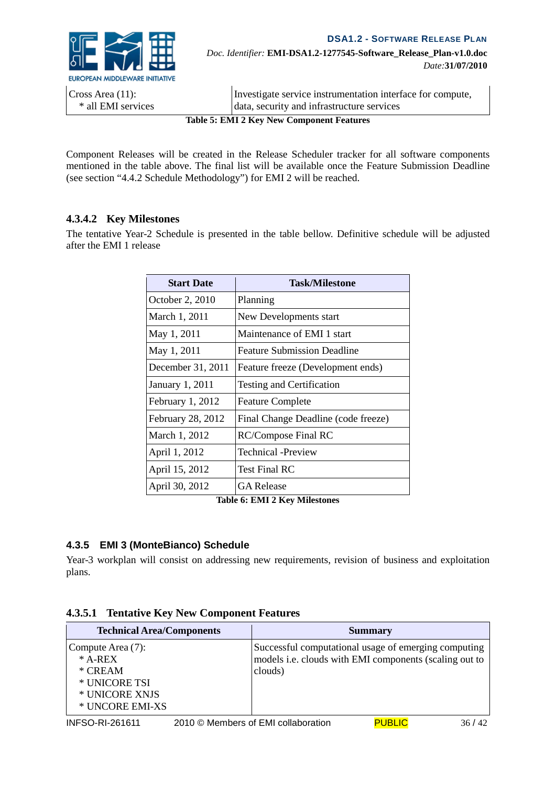

**DSA1.2 - SOFTWARE RELEASE PLAN** *Doc. Identifier:* **EMI-DSA1.2-1277545-Software\_Release\_Plan-v1.0.doc** *Date:***31/07/2010**

| <b>Table 5: EMI 2 Key New Component Features</b> |                                                            |  |
|--------------------------------------------------|------------------------------------------------------------|--|
| * all EMI services                               | data, security and infrastructure services                 |  |
| Cross Area (11):                                 | Investigate service instrumentation interface for compute, |  |
|                                                  |                                                            |  |

Component Releases will be created in the Release Scheduler tracker for all software components mentioned in the table above. The final list will be available once the Feature Submission Deadline (see section "4.4.2 Schedule Methodology") for EMI 2 will be reached.

#### **4.3.4.2 Key Milestones**

The tentative Year-2 Schedule is presented in the table bellow. Definitive schedule will be adjusted after the EMI 1 release

| <b>Start Date</b>  | Task/Milestone                      |
|--------------------|-------------------------------------|
| October 2, 2010    | Planning                            |
| March 1, 2011      | New Developments start              |
| May 1, 2011        | Maintenance of EMI 1 start          |
| May 1, 2011        | <b>Feature Submission Deadline</b>  |
| December 31, 2011  | Feature freeze (Development ends)   |
| January 1, 2011    | <b>Testing and Certification</b>    |
| February $1, 2012$ | <b>Feature Complete</b>             |
| February 28, 2012  | Final Change Deadline (code freeze) |
| March 1, 2012      | RC/Compose Final RC                 |
| April 1, 2012      | Technical -Preview                  |
| April 15, 2012     | Test Final RC                       |
| April 30, 2012     | <b>GA Release</b>                   |

**Table 6: EMI 2 Key Milestones**

#### **4.3.5 EMI 3 (MonteBianco) Schedule**

Year-3 workplan will consist on addressing new requirements, revision of business and exploitation plans.

|  |  |  | <b>4.3.5.1 Tentative Key New Component Features</b> |  |
|--|--|--|-----------------------------------------------------|--|
|--|--|--|-----------------------------------------------------|--|

| <b>Technical Area/Components</b>                                                                  |                                                                                                                           | <b>Summary</b> |       |
|---------------------------------------------------------------------------------------------------|---------------------------------------------------------------------------------------------------------------------------|----------------|-------|
| Compute Area (7):<br>$*$ A-REX<br>$*$ CREAM<br>* UNICORE TSI<br>* UNICORE XNJS<br>* UNCORE EMI-XS | Successful computational usage of emerging computing<br>models i.e. clouds with EMI components (scaling out to<br>clouds) |                |       |
| <b>INFSO-RI-261611</b>                                                                            | 2010 © Members of EMI collaboration                                                                                       | <b>PUBLIC</b>  | 36/42 |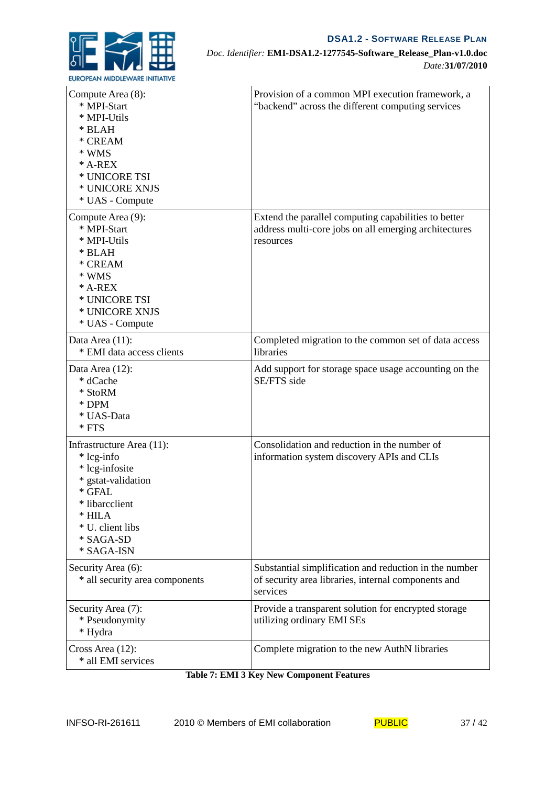

*Doc. Identifier:* **EMI-DSA1.2-1277545-Software\_Release\_Plan-v1.0.doc** *Date:***31/07/2010**

| Compute Area (8):<br>* MPI-Start<br>* MPI-Utils<br>* BLAH<br>* CREAM<br>* WMS<br>$*$ A-REX<br>* UNICORE TSI<br>* UNICORE XNJS<br>* UAS - Compute                       | Provision of a common MPI execution framework, a<br>"backend" across the different computing services                      |
|------------------------------------------------------------------------------------------------------------------------------------------------------------------------|----------------------------------------------------------------------------------------------------------------------------|
| Compute Area (9):<br>* MPI-Start<br>* MPI-Utils<br>* BLAH<br>* CREAM<br>* WMS<br>$*$ A-REX<br>* UNICORE TSI<br>* UNICORE XNJS<br>* UAS - Compute                       | Extend the parallel computing capabilities to better<br>address multi-core jobs on all emerging architectures<br>resources |
| Data Area (11):<br>* EMI data access clients                                                                                                                           | Completed migration to the common set of data access<br>libraries                                                          |
| Data Area (12):<br>* dCache<br>* StoRM<br>* DPM<br>* UAS-Data<br>$*$ FTS                                                                                               | Add support for storage space usage accounting on the<br>SE/FTS side                                                       |
| Infrastructure Area (11):<br>* lcg-info<br>* lcg-infosite<br>* gstat-validation<br>* GFAL<br>* libarcclient<br>$*$ HILA<br>* U. client libs<br>* SAGA-SD<br>* SAGA-ISN | Consolidation and reduction in the number of<br>information system discovery APIs and CLIs                                 |
| Security Area (6):<br>* all security area components                                                                                                                   | Substantial simplification and reduction in the number<br>of security area libraries, internal components and<br>services  |
| Security Area (7):<br>* Pseudonymity<br>* Hydra                                                                                                                        | Provide a transparent solution for encrypted storage<br>utilizing ordinary EMI SEs                                         |
| Cross Area (12):<br>* all EMI services                                                                                                                                 | Complete migration to the new AuthN libraries                                                                              |

| <b>Table 7: EMI 3 Key New Component Features</b> |  |
|--------------------------------------------------|--|
|--------------------------------------------------|--|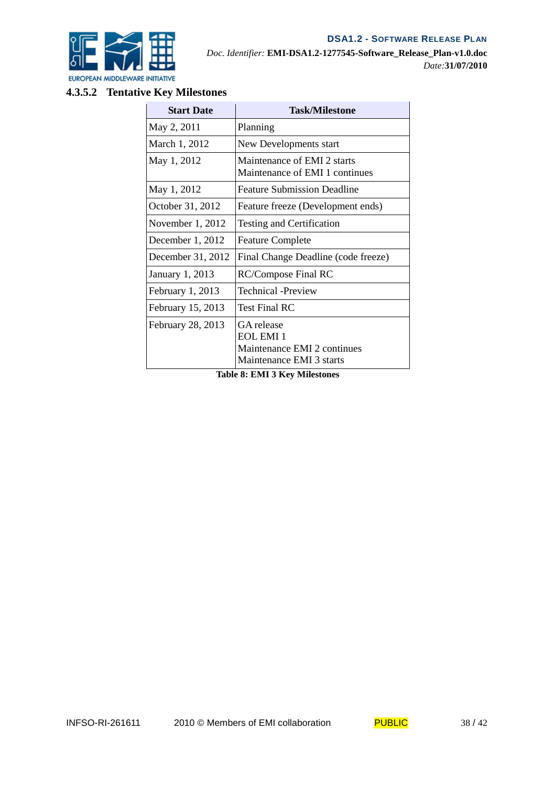



# **4.3.5.2 Tentative Key Milestones**

| Planning                                                                                  |  |
|-------------------------------------------------------------------------------------------|--|
| New Developments start                                                                    |  |
| Maintenance of EMI 2 starts<br>Maintenance of EMI 1 continues                             |  |
| <b>Feature Submission Deadline</b>                                                        |  |
| Feature freeze (Development ends)                                                         |  |
| Testing and Certification                                                                 |  |
| <b>Feature Complete</b>                                                                   |  |
| Final Change Deadline (code freeze)                                                       |  |
| RC/Compose Final RC                                                                       |  |
| Technical -Preview                                                                        |  |
| <b>Test Final RC</b>                                                                      |  |
| GA release<br><b>EOL EMI 1</b><br>Maintenance EMI 2 continues<br>Maintenance EMI 3 starts |  |
| т. І. І. О. ТА <i>і</i> т <i>а іг.</i> — А <i>і</i> !І. …                                 |  |

**Table 8: EMI 3 Key Milestones**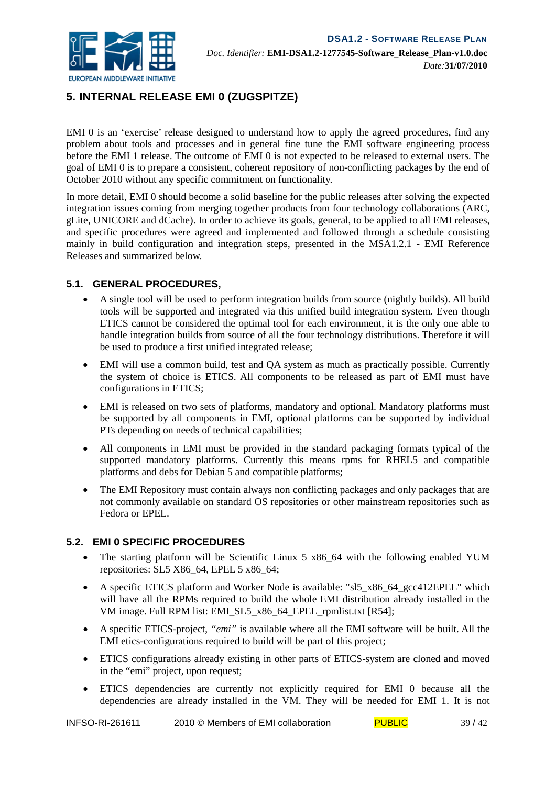

# **5. INTERNAL RELEASE EMI 0 (ZUGSPITZE)**

EMI 0 is an 'exercise' release designed to understand how to apply the agreed procedures, find any problem about tools and processes and in general fine tune the EMI software engineering process before the EMI 1 release. The outcome of EMI 0 is not expected to be released to external users. The goal of EMI 0 is to prepare a consistent, coherent repository of non-conflicting packages by the end of October 2010 without any specific commitment on functionality.

In more detail, EMI 0 should become a solid baseline for the public releases after solving the expected integration issues coming from merging together products from four technology collaborations (ARC, gLite, UNICORE and dCache). In order to achieve its goals, general, to be applied to all EMI releases, and specific procedures were agreed and implemented and followed through a schedule consisting mainly in build configuration and integration steps, presented in the MSA1.2.1 - EMI Reference Releases and summarized below.

#### **5.1. GENERAL PROCEDURES,**

- A single tool will be used to perform integration builds from source (nightly builds). All build tools will be supported and integrated via this unified build integration system. Even though ETICS cannot be considered the optimal tool for each environment, it is the only one able to handle integration builds from source of all the four technology distributions. Therefore it will be used to produce a first unified integrated release;
- EMI will use a common build, test and QA system as much as practically possible. Currently the system of choice is ETICS. All components to be released as part of EMI must have configurations in ETICS;
- EMI is released on two sets of platforms, mandatory and optional. Mandatory platforms must be supported by all components in EMI, optional platforms can be supported by individual PTs depending on needs of technical capabilities;
- All components in EMI must be provided in the standard packaging formats typical of the supported mandatory platforms. Currently this means rpms for RHEL5 and compatible platforms and debs for Debian 5 and compatible platforms;
- The EMI Repository must contain always non conflicting packages and only packages that are not commonly available on standard OS repositories or other mainstream repositories such as Fedora or EPEL.

#### **5.2. EMI 0 SPECIFIC PROCEDURES**

- The starting platform will be Scientific Linux 5 x86 64 with the following enabled YUM repositories: SL5 X86\_64, EPEL 5 x86\_64;
- A specific ETICS platform and Worker Node is available: "sl5 x86 64 gcc412EPEL" which will have all the RPMs required to build the whole EMI distribution already installed in the VM image. Full RPM list: EMI\_SL5\_x86\_64\_EPEL\_rpmlist.txt [R54];
- A specific ETICS-project, *"emi"* is available where all the EMI software will be built. All the EMI etics-configurations required to build will be part of this project;
- ETICS configurations already existing in other parts of ETICS-system are cloned and moved in the "emi" project, upon request;
- ETICS dependencies are currently not explicitly required for EMI 0 because all the dependencies are already installed in the VM. They will be needed for EMI 1. It is not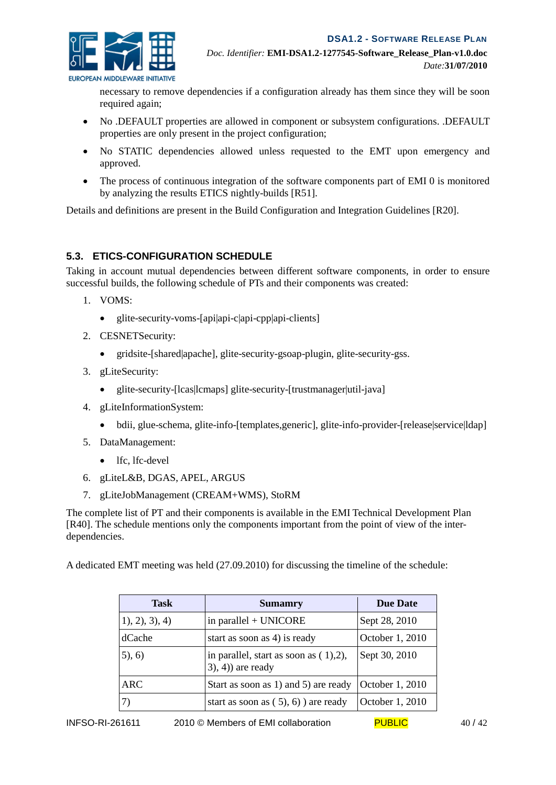

necessary to remove dependencies if a configuration already has them since they will be soon required again;

- No .DEFAULT properties are allowed in component or subsystem configurations. .DEFAULT properties are only present in the project configuration;
- No STATIC dependencies allowed unless requested to the EMT upon emergency and approved.
- The process of continuous integration of the software components part of EMI 0 is monitored by analyzing the results ETICS nightly-builds [R51].

Details and definitions are present in the Build Configuration and Integration Guidelines [R20].

#### **5.3. ETICS-CONFIGURATION SCHEDULE**

Taking in account mutual dependencies between different software components, in order to ensure successful builds, the following schedule of PTs and their components was created:

- 1. VOMS:
	- glite-security-voms-[api|api-c|api-cpp|api-clients]
- 2. CESNETSecurity:
	- gridsite-[shared|apache], glite-security-gsoap-plugin, glite-security-gss.
- 3. gLiteSecurity:
	- glite-security-[lcas|lcmaps] glite-security-[trustmanager|util-java]
- 4. gLiteInformationSystem:
	- bdii, glue-schema, glite-info-[templates,generic], glite-info-provider-[release|service|ldap]
- 5. DataManagement:
	- lfc, lfc-devel
- 6. gLiteL&B, DGAS, APEL, ARGUS
- 7. gLiteJobManagement (CREAM+WMS), StoRM

The complete list of PT and their components is available in the EMI Technical Development Plan [R40]. The schedule mentions only the components important from the point of view of the interdependencies.

A dedicated EMT meeting was held (27.09.2010) for discussing the timeline of the schedule:

| <b>Task</b>     | <b>Sumamry</b>                                                  | <b>Due Date</b> |
|-----------------|-----------------------------------------------------------------|-----------------|
| (1), 2), 3), 4) | in parallel + UNICORE                                           | Sept 28, 2010   |
| dCache          | start as soon as 4) is ready                                    | October 1, 2010 |
| (5), (6)        | in parallel, start as soon as $(1),2$ ),<br>$(3), 4)$ are ready | Sept 30, 2010   |
| <b>ARC</b>      | Start as soon as 1) and 5) are ready                            | October 1, 2010 |
| 7)              | start as soon as $(5)$ , 6) are ready                           | October 1, 2010 |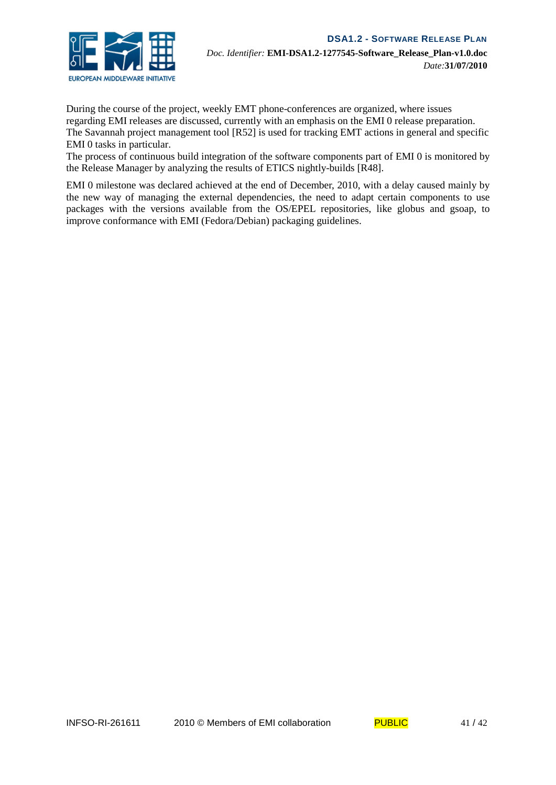

During the course of the project, weekly EMT phone-conferences are organized, where issues regarding EMI releases are discussed, currently with an emphasis on the EMI 0 release preparation. The Savannah project management tool [R52] is used for tracking EMT actions in general and specific EMI 0 tasks in particular.

The process of continuous build integration of the software components part of EMI 0 is monitored by the Release Manager by analyzing the results of ETICS nightly-builds [R48].

EMI 0 milestone was declared achieved at the end of December, 2010, with a delay caused mainly by the new way of managing the external dependencies, the need to adapt certain components to use packages with the versions available from the OS/EPEL repositories, like globus and gsoap, to improve conformance with EMI (Fedora/Debian) packaging guidelines.